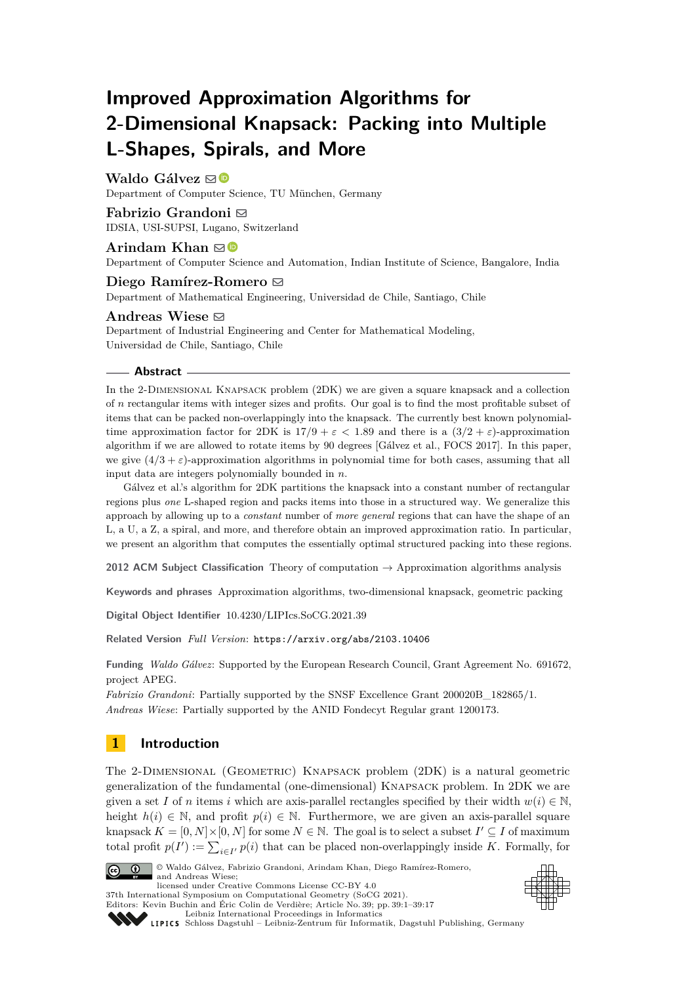# **Improved Approximation Algorithms for 2-Dimensional Knapsack: Packing into Multiple L-Shapes, Spirals, and More**

# **Waldo Gálvez** ⊠<sup>®</sup>

Department of Computer Science, TU München, Germany

# **Fabrizio Grandoni** ⊠

IDSIA, USI-SUPSI, Lugano, Switzerland

# **Arindam Khan** ⊠<sup>■</sup>

Department of Computer Science and Automation, Indian Institute of Science, Bangalore, India

# **Diego Ramírez-Romero** [!](mailto:dramirez@dim.uchile.cl)

Department of Mathematical Engineering, Universidad de Chile, Santiago, Chile

# **Andreas Wiese** [!](mailto:awiese@dii.uchile.cl)

Department of Industrial Engineering and Center for Mathematical Modeling, Universidad de Chile, Santiago, Chile

## **Abstract**

In the 2-Dimensional Knapsack problem (2DK) we are given a square knapsack and a collection of *n* rectangular items with integer sizes and profits. Our goal is to find the most profitable subset of items that can be packed non-overlappingly into the knapsack. The currently best known polynomialtime approximation factor for 2DK is  $17/9 + \varepsilon < 1.89$  and there is a  $(3/2 + \varepsilon)$ -approximation algorithm if we are allowed to rotate items by 90 degrees [Gálvez et al., FOCS 2017]. In this paper, we give  $(4/3 + \varepsilon)$ -approximation algorithms in polynomial time for both cases, assuming that all input data are integers polynomially bounded in *n*.

Gálvez et al.'s algorithm for 2DK partitions the knapsack into a constant number of rectangular regions plus *one* L-shaped region and packs items into those in a structured way. We generalize this approach by allowing up to a *constant* number of *more general* regions that can have the shape of an L, a U, a Z, a spiral, and more, and therefore obtain an improved approximation ratio. In particular, we present an algorithm that computes the essentially optimal structured packing into these regions.

**2012 ACM Subject Classification** Theory of computation → Approximation algorithms analysis

**Keywords and phrases** Approximation algorithms, two-dimensional knapsack, geometric packing

**Digital Object Identifier** [10.4230/LIPIcs.SoCG.2021.39](https://doi.org/10.4230/LIPIcs.SoCG.2021.39)

**Related Version** *Full Version*: <https://arxiv.org/abs/2103.10406>

**Funding** *Waldo Gálvez*: Supported by the European Research Council, Grant Agreement No. 691672, project APEG.

*Fabrizio Grandoni*: Partially supported by the SNSF Excellence Grant 200020B\_182865/1. *Andreas Wiese*: Partially supported by the ANID Fondecyt Regular grant 1200173.

# **1 Introduction**

The 2-Dimensional (Geometric) Knapsack problem (2DK) is a natural geometric generalization of the fundamental (one-dimensional) Knapsack problem. In 2DK we are given a set *I* of *n* items *i* which are axis-parallel rectangles specified by their width  $w(i) \in \mathbb{N}$ , height  $h(i) \in \mathbb{N}$ , and profit  $p(i) \in \mathbb{N}$ . Furthermore, we are given an axis-parallel square knapsack  $K = [0, N] \times [0, N]$  for some  $N \in \mathbb{N}$ . The goal is to select a subset  $I' \subseteq I$  of maximum total profit  $p(I') := \sum_{i \in I'} p(i)$  that can be placed non-overlappingly inside *K*. Formally, for



© Waldo Gálvez, Fabrizio Grandoni, Arindam Khan, Diego Ramírez-Romero, and Andreas Wiese; licensed under Creative Commons License CC-BY 4.0 37th International Symposium on Computational Geometry (SoCG 2021).



Editors: Kevin Buchin and Éric Colin de Verdière; Article No. 39; pp. 39:1–39:17

[Leibniz International Proceedings in Informatics](https://www.dagstuhl.de/lipics/) [Schloss Dagstuhl – Leibniz-Zentrum für Informatik, Dagstuhl Publishing, Germany](https://www.dagstuhl.de)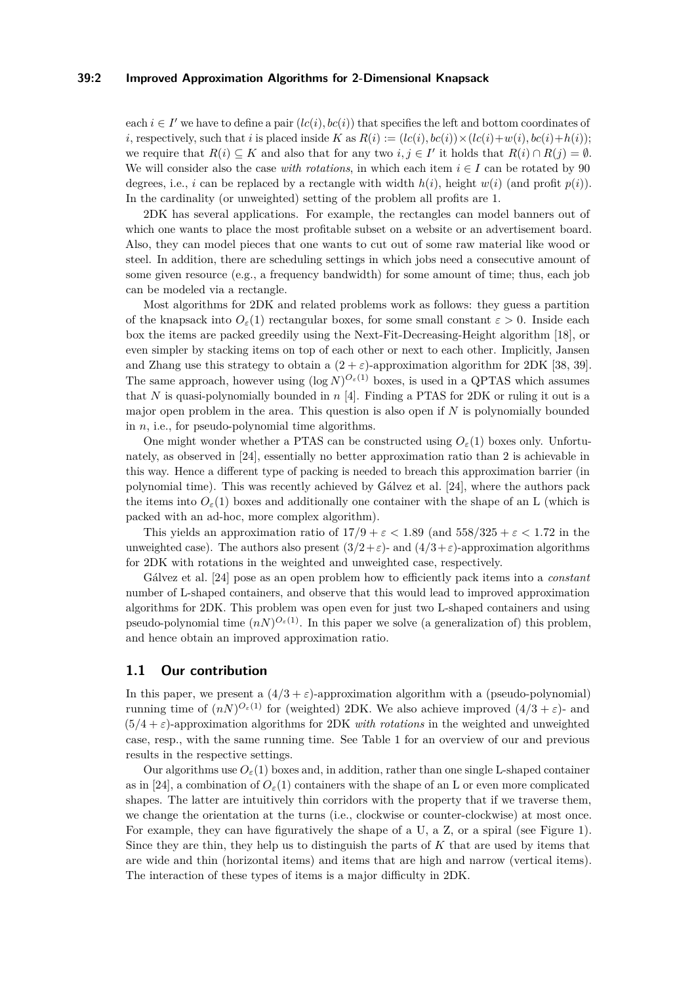## **39:2 Improved Approximation Algorithms for 2-Dimensional Knapsack**

each  $i \in I'$  we have to define a pair  $(lc(i), bc(i))$  that specifies the left and bottom coordinates of *i*, respectively, such that *i* is placed inside  $K$  as  $R(i) := (lc(i), bc(i)) \times (lc(i) + w(i), bc(i) + h(i));$ we require that  $R(i) \subseteq K$  and also that for any two  $i, j \in I'$  it holds that  $R(i) \cap R(j) = \emptyset$ . We will consider also the case *with rotations*, in which each item  $i \in I$  can be rotated by 90 degrees, i.e., *i* can be replaced by a rectangle with width  $h(i)$ , height  $w(i)$  (and profit  $p(i)$ ). In the cardinality (or unweighted) setting of the problem all profits are 1.

2DK has several applications. For example, the rectangles can model banners out of which one wants to place the most profitable subset on a website or an advertisement board. Also, they can model pieces that one wants to cut out of some raw material like wood or steel. In addition, there are scheduling settings in which jobs need a consecutive amount of some given resource (e.g., a frequency bandwidth) for some amount of time; thus, each job can be modeled via a rectangle.

Most algorithms for 2DK and related problems work as follows: they guess a partition of the knapsack into  $O_{\varepsilon}(1)$  rectangular boxes, for some small constant  $\varepsilon > 0$ . Inside each box the items are packed greedily using the Next-Fit-Decreasing-Height algorithm [\[18\]](#page-14-0), or even simpler by stacking items on top of each other or next to each other. Implicitly, Jansen and Zhang use this strategy to obtain a  $(2 + \varepsilon)$ -approximation algorithm for 2DK [\[38,](#page-15-0) [39\]](#page-15-1). The same approach, however using  $(\log N)^{O_{\varepsilon}(1)}$  boxes, is used in a QPTAS which assumes that *N* is quasi-polynomially bounded in *n* [\[4\]](#page-13-0). Finding a PTAS for 2DK or ruling it out is a major open problem in the area. This question is also open if *N* is polynomially bounded in *n*, i.e., for pseudo-polynomial time algorithms.

One might wonder whether a PTAS can be constructed using  $O_{\varepsilon}(1)$  boxes only. Unfortunately, as observed in [\[24\]](#page-14-1), essentially no better approximation ratio than 2 is achievable in this way. Hence a different type of packing is needed to breach this approximation barrier (in polynomial time). This was recently achieved by Gálvez et al. [\[24\]](#page-14-1), where the authors pack the items into  $O_{\varepsilon}(1)$  boxes and additionally one container with the shape of an L (which is packed with an ad-hoc, more complex algorithm).

This yields an approximation ratio of  $17/9 + \varepsilon < 1.89$  (and  $558/325 + \varepsilon < 1.72$  in the unweighted case). The authors also present  $(3/2+\varepsilon)$ - and  $(4/3+\varepsilon)$ -approximation algorithms for 2DK with rotations in the weighted and unweighted case, respectively.

Gálvez et al. [\[24\]](#page-14-1) pose as an open problem how to efficiently pack items into a *constant* number of L-shaped containers, and observe that this would lead to improved approximation algorithms for 2DK. This problem was open even for just two L-shaped containers and using pseudo-polynomial time  $(nN)^{O_{\varepsilon}(1)}$ . In this paper we solve (a generalization of) this problem, and hence obtain an improved approximation ratio.

# **1.1 Our contribution**

In this paper, we present a  $(4/3 + \varepsilon)$ -approximation algorithm with a (pseudo-polynomial) running time of  $(nN)^{O_{\varepsilon}(1)}$  for (weighted) 2DK. We also achieve improved  $(4/3 + \varepsilon)$ - and  $(5/4 + \varepsilon)$ -approximation algorithms for 2DK *with rotations* in the weighted and unweighted case, resp., with the same running time. See Table [1](#page-2-0) for an overview of our and previous results in the respective settings.

Our algorithms use  $O_{\varepsilon}(1)$  boxes and, in addition, rather than one single L-shaped container as in [\[24\]](#page-14-1), a combination of  $O_{\varepsilon}(1)$  containers with the shape of an L or even more complicated shapes. The latter are intuitively thin corridors with the property that if we traverse them, we change the orientation at the turns (i.e., clockwise or counter-clockwise) at most once. For example, they can have figuratively the shape of a U, a Z, or a spiral (see Figure [1\)](#page-2-1). Since they are thin, they help us to distinguish the parts of *K* that are used by items that are wide and thin (horizontal items) and items that are high and narrow (vertical items). The interaction of these types of items is a major difficulty in 2DK.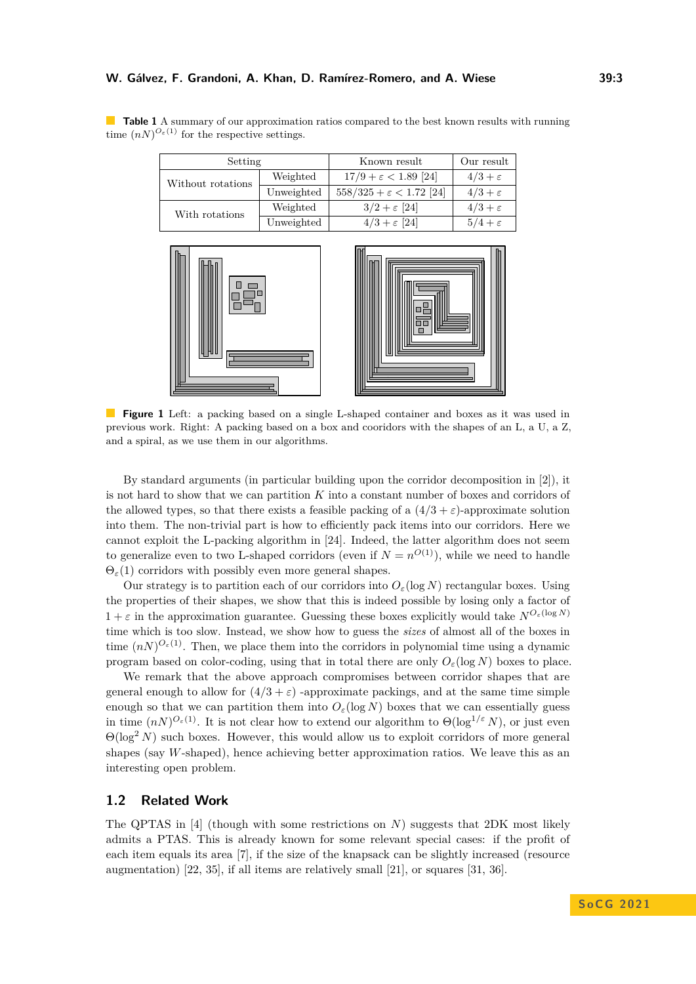| Setting           |            | Known result                        | Our result        |
|-------------------|------------|-------------------------------------|-------------------|
| Without rotations | Weighted   | $17/9 + \varepsilon < 1.89$ [24]    | $4/3+\varepsilon$ |
|                   | Unweighted | $558/325 + \varepsilon < 1.72$ [24] | $4/3+\varepsilon$ |
| With rotations    | Weighted   | $3/2 + \varepsilon$ [24]            | $4/3+\varepsilon$ |
|                   | Unweighted | $4/3 + \varepsilon$ [24]            | $5/4+\varepsilon$ |

<span id="page-2-0"></span>**Table 1** A summary of our approximation ratios compared to the best known results with running time  $(nN)^{O_{\varepsilon}(1)}$  for the respective settings.

<span id="page-2-1"></span>

**Figure 1** Left: a packing based on a single L-shaped container and boxes as it was used in previous work. Right: A packing based on a box and cooridors with the shapes of an L, a U, a Z, and a spiral, as we use them in our algorithms.

By standard arguments (in particular building upon the corridor decomposition in [\[2\]](#page-13-1)), it is not hard to show that we can partition *K* into a constant number of boxes and corridors of the allowed types, so that there exists a feasible packing of a  $(4/3 + \varepsilon)$ -approximate solution into them. The non-trivial part is how to efficiently pack items into our corridors. Here we cannot exploit the L-packing algorithm in [\[24\]](#page-14-1). Indeed, the latter algorithm does not seem to generalize even to two L-shaped corridors (even if  $N = n^{O(1)}$ ), while we need to handle  $\Theta_{\varepsilon}(1)$  corridors with possibly even more general shapes.

Our strategy is to partition each of our corridors into  $O_{\varepsilon}(\log N)$  rectangular boxes. Using the properties of their shapes, we show that this is indeed possible by losing only a factor of  $1 + \varepsilon$  in the approximation guarantee. Guessing these boxes explicitly would take  $N^{O_{\varepsilon}(\log N)}$ time which is too slow. Instead, we show how to guess the *sizes* of almost all of the boxes in time  $(nN)^{O_{\varepsilon}(1)}$ . Then, we place them into the corridors in polynomial time using a dynamic program based on color-coding, using that in total there are only  $O_{\varepsilon}(\log N)$  boxes to place.

We remark that the above approach compromises between corridor shapes that are general enough to allow for  $(4/3 + \varepsilon)$  -approximate packings, and at the same time simple enough so that we can partition them into  $O_{\varepsilon}(\log N)$  boxes that we can essentially guess in time  $(nN)^{O_{\varepsilon}(1)}$ . It is not clear how to extend our algorithm to  $\Theta(\log^{1/\varepsilon} N)$ , or just even  $\Theta(\log^2 N)$  such boxes. However, this would allow us to exploit corridors of more general shapes (say *W*-shaped), hence achieving better approximation ratios. We leave this as an interesting open problem.

# **1.2 Related Work**

The QPTAS in [\[4\]](#page-13-0) (though with some restrictions on *N*) suggests that 2DK most likely admits a PTAS. This is already known for some relevant special cases: if the profit of each item equals its area [\[7\]](#page-13-2), if the size of the knapsack can be slightly increased (resource augmentation) [\[22,](#page-14-2) [35\]](#page-15-2), if all items are relatively small [\[21\]](#page-14-3), or squares [\[31,](#page-15-3) [36\]](#page-15-4).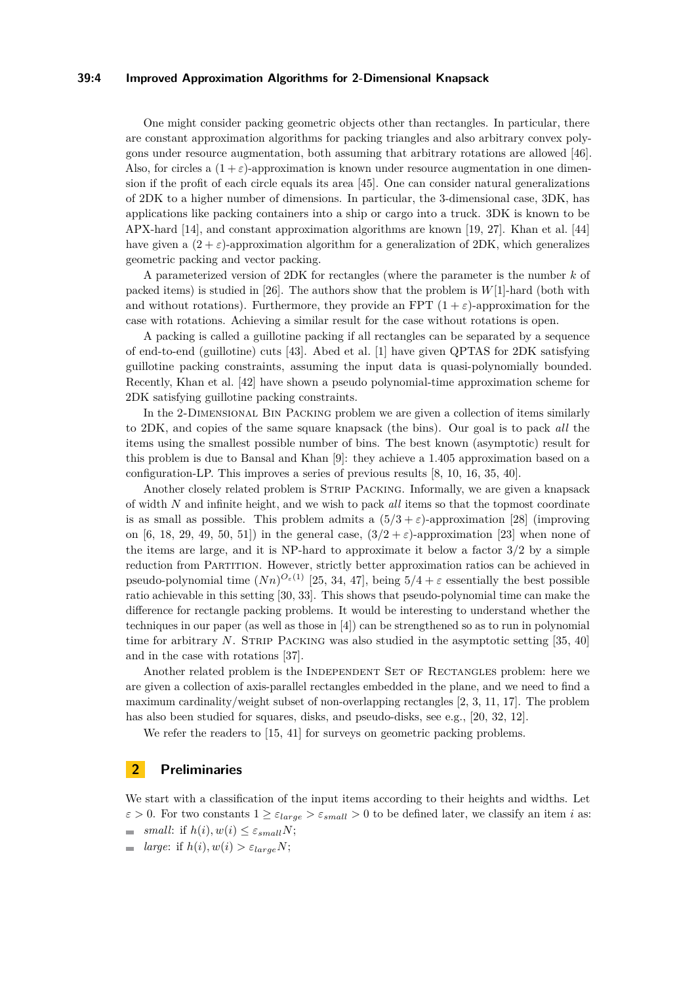## **39:4 Improved Approximation Algorithms for 2-Dimensional Knapsack**

One might consider packing geometric objects other than rectangles. In particular, there are constant approximation algorithms for packing triangles and also arbitrary convex polygons under resource augmentation, both assuming that arbitrary rotations are allowed [\[46\]](#page-16-0). Also, for circles a  $(1 + \varepsilon)$ -approximation is known under resource augmentation in one dimension if the profit of each circle equals its area [\[45\]](#page-15-5). One can consider natural generalizations of 2DK to a higher number of dimensions. In particular, the 3-dimensional case, 3DK, has applications like packing containers into a ship or cargo into a truck. 3DK is known to be APX-hard [\[14\]](#page-13-3), and constant approximation algorithms are known [\[19,](#page-14-4) [27\]](#page-14-5). Khan et al. [\[44\]](#page-15-6) have given a  $(2 + \varepsilon)$ -approximation algorithm for a generalization of 2DK, which generalizes geometric packing and vector packing.

A parameterized version of 2DK for rectangles (where the parameter is the number *k* of packed items) is studied in [\[26\]](#page-14-6). The authors show that the problem is *W*[1]-hard (both with and without rotations). Furthermore, they provide an FPT  $(1 + \varepsilon)$ -approximation for the case with rotations. Achieving a similar result for the case without rotations is open.

A packing is called a guillotine packing if all rectangles can be separated by a sequence of end-to-end (guillotine) cuts [\[43\]](#page-15-7). Abed et al. [\[1\]](#page-13-4) have given QPTAS for 2DK satisfying guillotine packing constraints, assuming the input data is quasi-polynomially bounded. Recently, Khan et al. [\[42\]](#page-15-8) have shown a pseudo polynomial-time approximation scheme for 2DK satisfying guillotine packing constraints.

In the 2-Dimensional Bin Packing problem we are given a collection of items similarly to 2DK, and copies of the same square knapsack (the bins). Our goal is to pack *all* the items using the smallest possible number of bins. The best known (asymptotic) result for this problem is due to Bansal and Khan [\[9\]](#page-13-5): they achieve a 1*.*405 approximation based on a configuration-LP. This improves a series of previous results [\[8,](#page-13-6) [10,](#page-13-7) [16,](#page-14-7) [35,](#page-15-2) [40\]](#page-15-9).

Another closely related problem is STRIP PACKING. Informally, we are given a knapsack of width *N* and infinite height, and we wish to pack *all* items so that the topmost coordinate is as small as possible. This problem admits a  $(5/3 + \varepsilon)$ -approximation [\[28\]](#page-14-8) (improving on [\[6,](#page-13-8) [18,](#page-14-0) [29,](#page-14-9) [49,](#page-16-1) [50,](#page-16-2) [51\]](#page-16-3)) in the general case,  $(3/2 + \varepsilon)$ -approximation [\[23\]](#page-14-10) when none of the items are large, and it is NP-hard to approximate it below a factor 3*/*2 by a simple reduction from Partition. However, strictly better approximation ratios can be achieved in pseudo-polynomial time  $(Nn)^{O_{\varepsilon}(1)}$  [\[25,](#page-14-11) [34,](#page-15-10) [47\]](#page-16-4), being  $5/4 + \varepsilon$  essentially the best possible ratio achievable in this setting [\[30,](#page-15-11) [33\]](#page-15-12). This shows that pseudo-polynomial time can make the difference for rectangle packing problems. It would be interesting to understand whether the techniques in our paper (as well as those in [\[4\]](#page-13-0)) can be strengthened so as to run in polynomial time for arbitrary  $N$ . STRIP PACKING was also studied in the asymptotic setting [\[35,](#page-15-2) [40\]](#page-15-9) and in the case with rotations [\[37\]](#page-15-13).

Another related problem is the INDEPENDENT SET OF RECTANGLES problem: here we are given a collection of axis-parallel rectangles embedded in the plane, and we need to find a maximum cardinality/weight subset of non-overlapping rectangles [\[2,](#page-13-1) [3,](#page-13-9) [11,](#page-13-10) [17\]](#page-14-12). The problem has also been studied for squares, disks, and pseudo-disks, see e.g., [\[20,](#page-14-13) [32,](#page-15-14) [12\]](#page-13-11).

We refer the readers to [\[15,](#page-14-14) [41\]](#page-15-15) for surveys on geometric packing problems.

## **2 Preliminaries**

We start with a classification of the input items according to their heights and widths. Let  $\varepsilon > 0$ . For two constants  $1 \geq \varepsilon_{large} > \varepsilon_{small} > 0$  to be defined later, we classify an item *i* as:

- $=$  *small*: if  $h(i), w(i) \leq \varepsilon_{small}N$ ;
- $\blacksquare$  *large*: if  $h(i), w(i) > \varepsilon_{large}N;$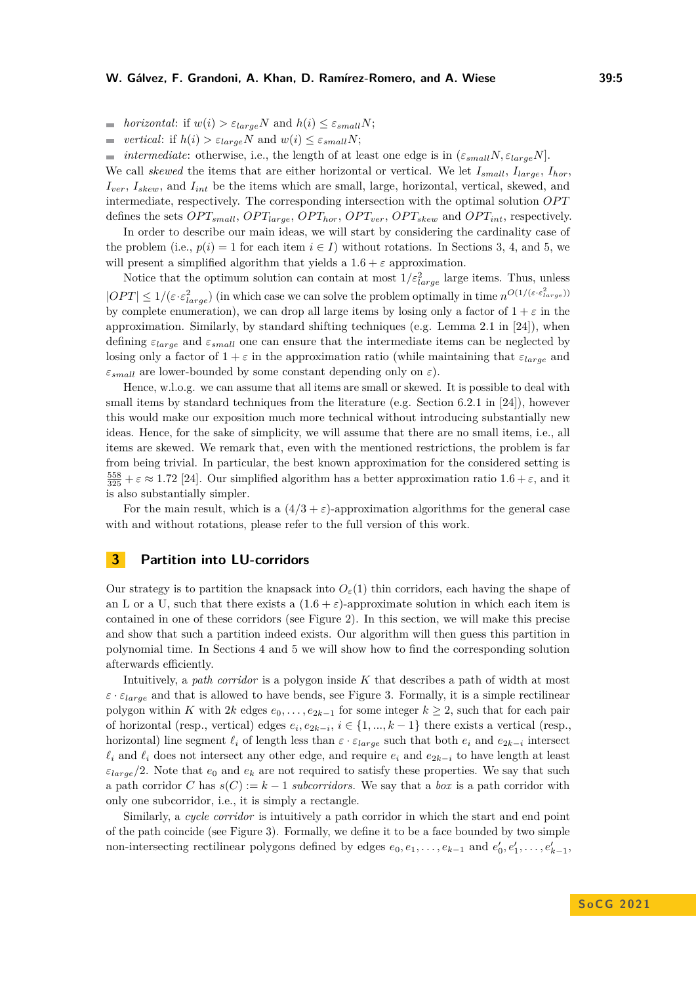*m horizontal*: if  $w(i) > \varepsilon_{large}N$  and  $h(i) \leq \varepsilon_{small}N$ ;

*vertical*: if  $h(i) > \varepsilon_{large}N$  and  $w(i) \leq \varepsilon_{small}N$ ;  $\overline{\phantom{a}}$ 

*intermediate*: otherwise, i.e., the length of at least one edge is in  $(\varepsilon_{small}N, \varepsilon_{large}N)$ . We call *skewed* the items that are either horizontal or vertical. We let *Ismall*, *Ilarge*, *Ihor*, *Iver*, *Iskew*, and *Iint* be the items which are small, large, horizontal, vertical, skewed, and intermediate, respectively. The corresponding intersection with the optimal solution *OP T* defines the sets  $OPT_{small}$ ,  $OPT_{large}$ ,  $OPT_{hor}$ ,  $OPT_{ver}$ ,  $OPT_{skew}$  and  $OPT_{int}$ , respectively.

In order to describe our main ideas, we will start by considering the cardinality case of the problem (i.e.,  $p(i) = 1$  for each item  $i \in I$ ) without rotations. In Sections [3,](#page-4-0) [4,](#page-6-0) and [5,](#page-10-0) we will present a simplified algorithm that yields a  $1.6 + \varepsilon$  approximation.

Notice that the optimum solution can contain at most  $1/\varepsilon_{large}^2$  large items. Thus, unless  $|OPT| \leq 1/(\varepsilon \cdot \varepsilon_{large}^2)$  (in which case we can solve the problem optimally in time  $n^{O(1/(\varepsilon \cdot \varepsilon_{large}^2))}$ ) by complete enumeration), we can drop all large items by losing only a factor of  $1 + \varepsilon$  in the approximation. Similarly, by standard shifting techniques (e.g. Lemma 2.1 in [\[24\]](#page-14-1)), when defining  $\varepsilon_{large}$  and  $\varepsilon_{small}$  one can ensure that the intermediate items can be neglected by losing only a factor of  $1 + \varepsilon$  in the approximation ratio (while maintaining that  $\varepsilon_{large}$  and *εsmall* are lower-bounded by some constant depending only on *ε*).

Hence, w.l.o.g. we can assume that all items are small or skewed. It is possible to deal with small items by standard techniques from the literature (e.g. Section 6.2.1 in [\[24\]](#page-14-1)), however this would make our exposition much more technical without introducing substantially new ideas. Hence, for the sake of simplicity, we will assume that there are no small items, i.e., all items are skewed. We remark that, even with the mentioned restrictions, the problem is far from being trivial. In particular, the best known approximation for the considered setting is  $\frac{558}{325} + \varepsilon \approx 1.72$  [\[24\]](#page-14-1). Our simplified algorithm has a better approximation ratio  $1.6 + \varepsilon$ , and it is also substantially simpler.

For the main result, which is a  $(4/3 + \varepsilon)$ -approximation algorithms for the general case with and without rotations, please refer to the full version of this work.

# <span id="page-4-0"></span>**3 Partition into LU-corridors**

Our strategy is to partition the knapsack into  $O_{\varepsilon}(1)$  thin corridors, each having the shape of an L or a U, such that there exists a  $(1.6 + \varepsilon)$ -approximate solution in which each item is contained in one of these corridors (see Figure [2\)](#page-5-0). In this section, we will make this precise and show that such a partition indeed exists. Our algorithm will then guess this partition in polynomial time. In Sections [4](#page-6-0) and [5](#page-10-0) we will show how to find the corresponding solution afterwards efficiently.

Intuitively, a *path corridor* is a polygon inside *K* that describes a path of width at most  $\varepsilon \cdot \varepsilon_{large}$  and that is allowed to have bends, see Figure [3.](#page-6-1) Formally, it is a simple rectilinear polygon within *K* with  $2k$  edges  $e_0, \ldots, e_{2k-1}$  for some integer  $k \geq 2$ , such that for each pair of horizontal (resp., vertical) edges  $e_i, e_{2k-i}, i \in \{1, ..., k-1\}$  there exists a vertical (resp., horizontal) line segment  $\ell_i$  of length less than  $\varepsilon \cdot \varepsilon_{large}$  such that both  $e_i$  and  $e_{2k-i}$  intersect  $\ell_i$  and  $\ell_i$  does not intersect any other edge, and require  $e_i$  and  $e_{2k-i}$  to have length at least  $\varepsilon_{large}/2$ . Note that  $e_0$  and  $e_k$  are not required to satisfy these properties. We say that such a path corridor *C* has  $s(C) := k - 1$  *subcorridors*. We say that a *box* is a path corridor with only one subcorridor, i.e., it is simply a rectangle.

Similarly, a *cycle corridor* is intuitively a path corridor in which the start and end point of the path coincide (see Figure [3\)](#page-6-1). Formally, we define it to be a face bounded by two simple non-intersecting rectilinear polygons defined by edges  $e_0, e_1, \ldots, e_{k-1}$  and  $e'_0, e'_1, \ldots, e'_{k-1}$ ,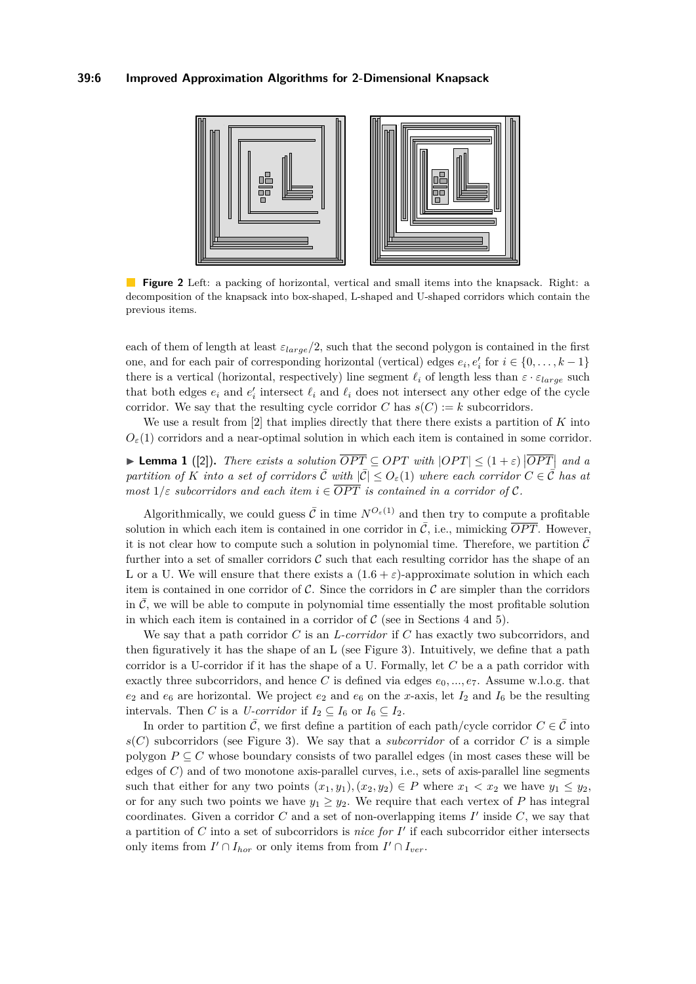<span id="page-5-0"></span>

 $\mathcal{L}^{\mathcal{A}}$ **Figure 2** Left: a packing of horizontal, vertical and small items into the knapsack. Right: a decomposition of the knapsack into box-shaped, L-shaped and U-shaped corridors which contain the previous items.

each of them of length at least *εlarge/*2, such that the second polygon is contained in the first one, and for each pair of corresponding horizontal (vertical) edges  $e_i, e'_i$  for  $i \in \{0, \ldots, k-1\}$ there is a vertical (horizontal, respectively) line segment  $\ell_i$  of length less than  $\varepsilon \cdot \varepsilon_{large}$  such that both edges  $e_i$  and  $e'_i$  intersect  $\ell_i$  and  $\ell_i$  does not intersect any other edge of the cycle corridor. We say that the resulting cycle corridor *C* has  $s(C) := k$  subcorridors.

We use a result from [\[2\]](#page-13-1) that implies directly that there there exists a partition of *K* into  $O_{\varepsilon}(1)$  corridors and a near-optimal solution in which each item is contained in some corridor.

▶ **Lemma 1** ([\[2\]](#page-13-1)). *There exists a solution*  $\overline{OPT} \subseteq OPT$  *with*  $|OPT| \leq (1 + \varepsilon) |\overline{OPT}|$  *and a partition of K into a set of corridors*  $\overline{C}$  *with*  $|\overline{C}| \leq O_{\varepsilon}(1)$  *where each corridor*  $C \in \overline{C}$  *has at most*  $1/\varepsilon$  *subcorridors and each item*  $i \in \overline{OPT}$  *is contained in a corridor of* C.

Algorithmically, we could guess  $\overline{C}$  in time  $N^{O_{\varepsilon}(1)}$  and then try to compute a profitable solution in which each item is contained in one corridor in  $\overline{C}$ , i.e., mimicking  $\overline{OPT}$ . However, it is not clear how to compute such a solution in polynomial time. Therefore, we partition  $\bar{\mathcal{C}}$ further into a set of smaller corridors  $\mathcal C$  such that each resulting corridor has the shape of an L or a U. We will ensure that there exists a  $(1.6 + \varepsilon)$ -approximate solution in which each item is contained in one corridor of  $\mathcal C$ . Since the corridors in  $\mathcal C$  are simpler than the corridors in  $\mathcal{C}$ , we will be able to compute in polynomial time essentially the most profitable solution in which each item is contained in a corridor of  $C$  (see in Sections [4](#page-6-0) and [5\)](#page-10-0).

We say that a path corridor *C* is an *L-corridor* if *C* has exactly two subcorridors, and then figuratively it has the shape of an L (see Figure [3\)](#page-6-1). Intuitively, we define that a path corridor is a U-corridor if it has the shape of a U. Formally, let *C* be a a path corridor with exactly three subcorridors, and hence *C* is defined via edges  $e_0, ..., e_7$ . Assume w.l.o.g. that  $e_2$  and  $e_6$  are horizontal. We project  $e_2$  and  $e_6$  on the *x*-axis, let  $I_2$  and  $I_6$  be the resulting intervals. Then *C* is a *U-corridor* if  $I_2 \subseteq I_6$  or  $I_6 \subseteq I_2$ .

In order to partition  $\overline{C}$ , we first define a partition of each path/cycle corridor  $C \in \overline{C}$  into  $s(C)$  subcorridors (see Figure [3\)](#page-6-1). We say that a *subcorridor* of a corridor *C* is a simple polygon  $P \subseteq C$  whose boundary consists of two parallel edges (in most cases these will be edges of *C*) and of two monotone axis-parallel curves, i.e., sets of axis-parallel line segments such that either for any two points  $(x_1, y_1), (x_2, y_2) \in P$  where  $x_1 < x_2$  we have  $y_1 \le y_2$ , or for any such two points we have  $y_1 \ge y_2$ . We require that each vertex of *P* has integral coordinates. Given a corridor  $C$  and a set of non-overlapping items  $I'$  inside  $C$ , we say that a partition of *C* into a set of subcorridors is *nice for I* ′ if each subcorridor either intersects only items from  $I' \cap I_{hor}$  or only items from from  $I' \cap I_{ver}$ .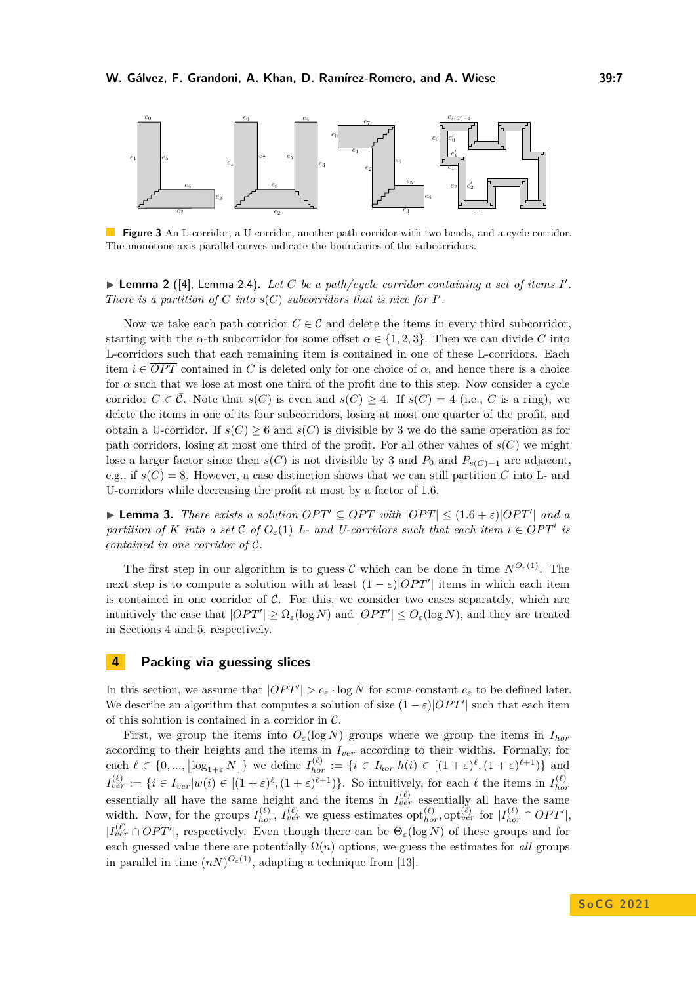<span id="page-6-1"></span>

**Figure 3** An L-corridor, a U-corridor, another path corridor with two bends, and a cycle corridor. The monotone axis-parallel curves indicate the boundaries of the subcorridors.

 $\blacktriangleright$  **Lemma 2** ([\[4\]](#page-13-0), Lemma 2.4). Let C be a path/cycle corridor containing a set of items I'. *There is a partition of C into*  $s(C)$  *subcorridors that is nice for*  $I'$ *.* 

Now we take each path corridor  $C \in \overline{C}$  and delete the items in every third subcorridor, starting with the *α*-th subcorridor for some offset  $\alpha \in \{1, 2, 3\}$ . Then we can divide *C* into L-corridors such that each remaining item is contained in one of these L-corridors. Each item  $i \in \overline{OPT}$  contained in *C* is deleted only for one choice of  $\alpha$ , and hence there is a choice for  $\alpha$  such that we lose at most one third of the profit due to this step. Now consider a cycle corridor  $C \in \overline{C}$ . Note that  $s(C)$  is even and  $s(C) > 4$ . If  $s(C) = 4$  (i.e., C is a ring), we delete the items in one of its four subcorridors, losing at most one quarter of the profit, and obtain a U-corridor. If  $s(C) > 6$  and  $s(C)$  is divisible by 3 we do the same operation as for path corridors, losing at most one third of the profit. For all other values of  $s(C)$  we might lose a larger factor since then *s*(*C*) is not divisible by 3 and  $P_0$  and  $P_{s(C)-1}$  are adjacent, e.g., if  $s(C) = 8$ . However, a case distinction shows that we can still partition *C* into L- and U-corridors while decreasing the profit at most by a factor of 1*.*6.

▶ **Lemma 3.** *There exists a solution OPT'*  $\subseteq$  *OPT with*  $|OPT| \leq (1.6 + \varepsilon)|OPT'|$  *and a partition of K into a set* C *of*  $O_{\varepsilon}(1)$  *L- and U-corridors such that each item*  $i \in OPT'$  *is contained in one corridor of* C*.*

The first step in our algorithm is to guess C which can be done in time  $N^{O_{\varepsilon}(1)}$ . The next step is to compute a solution with at least  $(1 - \varepsilon)|OPT'|$  items in which each item is contained in one corridor of  $C$ . For this, we consider two cases separately, which are intuitively the case that  $|OPT'| \geq \Omega_{\varepsilon}(\log N)$  and  $|OPT'| \leq O_{\varepsilon}(\log N)$ , and they are treated in Sections [4](#page-6-0) and [5,](#page-10-0) respectively.

# <span id="page-6-0"></span>**4 Packing via guessing slices**

In this section, we assume that  $|OPT'| > c_{\varepsilon} \cdot \log N$  for some constant  $c_{\varepsilon}$  to be defined later. We describe an algorithm that computes a solution of size  $(1 - \varepsilon)|OPT'|$  such that each item of this solution is contained in a corridor in  $C$ .

First, we group the items into  $O_{\varepsilon}(\log N)$  groups where we group the items in  $I_{hor}$ according to their heights and the items in *Iver* according to their widths. Formally, for each  $\ell \in \{0, ..., \lfloor \log_{1+\varepsilon} N \rfloor\}$  we define  $I_{hor}^{(\ell)} := \{i \in I_{hor} | h(i) \in [(1+\varepsilon)^{\ell}, (1+\varepsilon)^{\ell+1})\}$  and  $I_{ver}^{(\ell)} := \{i \in I_{ver} | w(i) \in [(1+\varepsilon)^{\ell}, (1+\varepsilon)^{\ell+1})\}.$  So intuitively, for each  $\ell$  the items in  $I_{hor}^{(\ell)}$ *hor* essentially all have the same height and the items in  $I_{ver}^{(\ell)}$  essentially all have the same width. Now, for the groups  $I_{hor}^{(\ell)}$ ,  $I_{ver}^{(\ell)}$  we guess estimates  $\text{opt}_{hor}^{(\ell)}$ ,  $\text{opt}_{ver}^{(\ell)}$  for  $|I_{hor}^{(\ell)} \cap OPT'|$ ,  $|I_{ver}^{(\ell)} \cap OPT'|$ , respectively. Even though there can be  $\Theta_{\varepsilon}(\log N)$  of these groups and for each guessed value there are potentially  $\Omega(n)$  options, we guess the estimates for *all* groups in parallel in time  $(nN)^{O_{\varepsilon}(1)}$ , adapting a technique from [\[13\]](#page-13-12).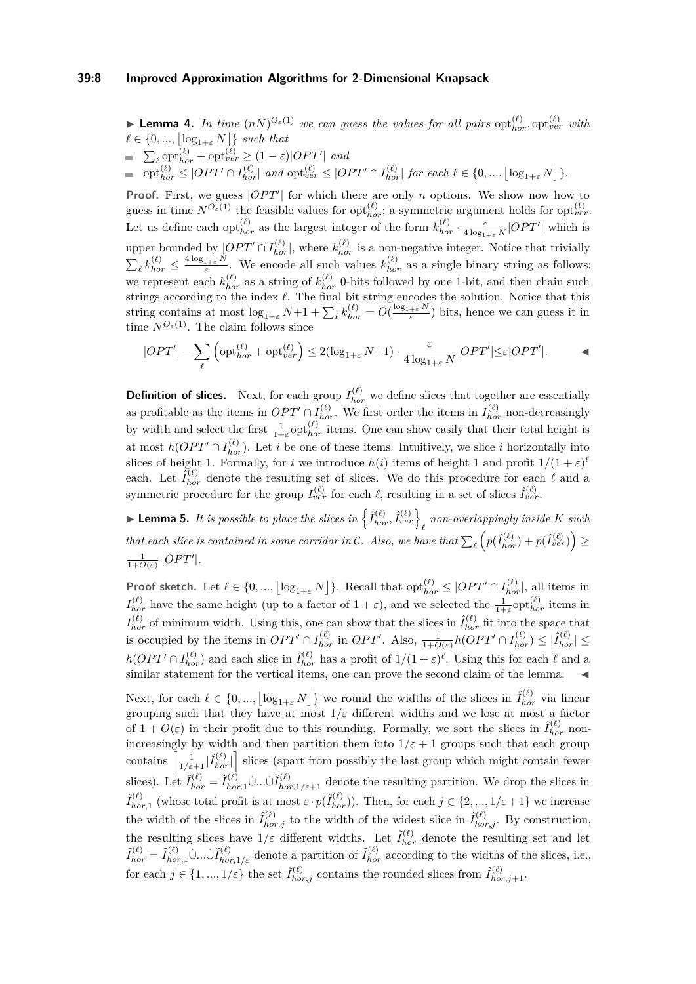### **39:8 Improved Approximation Algorithms for 2-Dimensional Knapsack**

**Example 4.** In time  $(nN)^{O_{\varepsilon}(1)}$  we can guess the values for all pairs  $\text{opt}_{hor}^{(\ell)}$ ,  $\text{opt}_{ver}^{(\ell)}$  with  $\ell \in \{0, ..., \lfloor \log_{1+\varepsilon} N \rfloor\}$  *such that*  $\sum_{\ell} \mathrm{opt}_{hor}^{(\ell)} + \mathrm{opt}_{ver}^{(\ell)} \ge (1 - \varepsilon)|OPT'|$  and  $\text{opt}_{hor}^{(\ell)} \leq |OPT' \cap I_{hor}^{(\ell)}|$  and  $\text{opt}_{ver}^{(\ell)} \leq |OPT' \cap I_{hor}^{(\ell)}|$  for each  $\ell \in \{0, ..., \lfloor \log_{1+\varepsilon} N \rfloor\}$ .

**Proof.** First, we guess  $|OPT'|$  for which there are only *n* options. We show now how to guess in time  $N^{O_{\varepsilon}(1)}$  the feasible values for  $\text{opt}_{hor}^{(\ell)}$ ; a symmetric argument holds for  $\text{opt}_{ver}^{(\ell)}$ . Let us define each  $\mathrm{opt}_{hor}^{(\ell)}$  as the largest integer of the form  $k_{hor}^{(\ell)} \cdot \frac{\varepsilon}{4 \log_{1+\varepsilon} N} |OPT'|$  which is upper bounded by  $[OPT' \cap I_{hor}^{(\ell)}]$ , where  $k_{hor}^{(\ell)}$  is a non-negative integer. Notice that trivially  $\sum_{\ell} k_{hor}^{(\ell)} \leq \frac{4 \log_{1+\varepsilon} N}{\varepsilon}$ . We encode all such values  $k_{hor}^{(\ell)}$  as a single binary string as follows: we represent each  $k_{hor}^{(\ell)}$  as a string of  $k_{hor}^{(\ell)}$  0-bits followed by one 1-bit, and then chain such strings according to the index *ℓ*. The final bit string encodes the solution. Notice that this string contains at most  $\log_{1+\varepsilon} N+1+\sum_{\ell} k_{hor}^{(\ell)} = O(\frac{\log_{1+\varepsilon} N}{\varepsilon})$  bits, hence we can guess it in time  $N^{O_{\varepsilon}(1)}$ . The claim follows since

$$
|OPT'| - \sum_{\ell} \left( \operatorname{opt}_{hor}^{(\ell)} + \operatorname{opt}_{ver}^{(\ell)} \right) \leq 2 (\log_{1+\varepsilon} N + 1) \cdot \frac{\varepsilon}{4 \log_{1+\varepsilon} N} |OPT'| {\leq} \varepsilon |OPT'|.
$$

**Definition of slices.** Next, for each group  $I_{hor}^{(\ell)}$  we define slices that together are essentially as profitable as the items in  $OPT' \cap I_{hor}^{(\ell)}$ . We first order the items in  $I_{hor}^{(\ell)}$  non-decreasingly by width and select the first  $\frac{1}{1+\varepsilon}$  opt $_{hor}^{(\ell)}$  items. One can show easily that their total height is at most  $h(OPT' \cap I_{hor}^{(\ell)})$ . Let *i* be one of these items. Intuitively, we slice *i* horizontally into slices of height 1. Formally, for *i* we introduce  $h(i)$  items of height 1 and profit  $1/(1+\varepsilon)^{\ell}$ each. Let  $\hat{I}_{hor}^{(\ell)}$  denote the resulting set of slices. We do this procedure for each  $\ell$  and a symmetric procedure for the group  $I_{ver}^{(\ell)}$  for each  $\ell$ , resulting in a set of slices  $\hat{I}_{ver}^{(\ell)}$ .

**Example 1** Lemma 5. It is possible to place the slices in  $\left\{ \hat{I}_{hor}^{(\ell)}, \hat{I}_{ver}^{(\ell)} \right\}_{\ell}$  non-overlappingly inside K such *that each slice is contained in some corridor in C. Also, we have that*  $\sum_{\ell} (p(\hat{I}_{hor}^{(\ell)}) + p(\hat{I}_{ver}^{(\ell)}) \geq$  $\frac{1}{1+O(\varepsilon)}$  |OPT'|.

**Proof sketch.** Let  $\ell \in \{0, ..., \lfloor \log_{1+\varepsilon} N \rfloor\}$ . Recall that  $\text{opt}_{hor}^{(\ell)} \leq |OPT' \cap I_{hor}^{(\ell)}|$ , all items in  $I_{hor}^{(\ell)}$  have the same height (up to a factor of  $1 + \varepsilon$ ), and we selected the  $\frac{1}{1+\varepsilon}$  opt $_{hor}^{(\ell)}$  items in  $I_{hor}^{(\ell)}$  of minimum width. Using this, one can show that the slices in  $\hat{I}_{hor}^{(\ell)}$  fit into the space that is occupied by the items in  $OPT' \cap I_{hor}^{(\ell)}$  in  $OPT'$ . Also,  $\frac{1}{1+O(\varepsilon)}h(OPT' \cap I_{hor}^{(\ell)}) \leq |\hat{I}_{hor}^{(\ell)}| \leq$  $h(OPT' \cap I_{hor}^{(\ell)})$  and each slice in  $\hat{I}_{hor}^{(\ell)}$  has a profit of  $1/(1+\varepsilon)^{\ell}$ . Using this for each  $\ell$  and a similar statement for the vertical items, one can prove the second claim of the lemma.

Next, for each  $\ell \in \{0, ..., \lfloor \log_{1+\varepsilon} N \rfloor\}$  we round the widths of the slices in  $\hat{I}_{hor}^{(\ell)}$  via linear grouping such that they have at most  $1/\varepsilon$  different widths and we lose at most a factor of  $1 + O(\varepsilon)$  in their profit due to this rounding. Formally, we sort the slices in  $\hat{I}_{hor}^{(\ell)}$  nonincreasingly by width and then partition them into  $1/\varepsilon + 1$  groups such that each group contains  $\left[\frac{1}{1/\varepsilon+1}|\hat{I}_{hor}^{(\ell)}|\right]$  slices (apart from possibly the last group which might contain fewer slices). Let  $\hat{I}_{hor}^{(\ell)} = \hat{I}_{hor,1}^{(\ell)} \cup ... \cup \hat{I}_{hor,1/\varepsilon+1}^{(\ell)}$  denote the resulting partition. We drop the slices in  $\hat{I}_{h}^{(\ell)}$  $\hat{f}_{hor,1}^{(\ell)}$  (whose total profit is at most  $\varepsilon \cdot p(\hat{I}_{hor}^{(\ell)}))$ ). Then, for each  $j \in \{2, ..., 1/\varepsilon + 1\}$  we increase the width of the slices in  $\hat{I}_{hor,j}^{(\ell)}$  to the width of the widest slice in  $\hat{I}_{hor,j}^{(\ell)}$ . By construction, the resulting slices have  $1/\varepsilon$  different widths. Let  $\tilde{I}_{hor}^{(\ell)}$  denote the resulting set and let  $\tilde{I}_{hor}^{(\ell)} = \tilde{I}_{hor,1}^{(\ell)} \cup ... \cup \tilde{I}_{hor,1/\varepsilon}^{(\ell)}$  denote a partition of  $\tilde{I}_{hor}^{(\ell)}$  according to the widths of the slices, i.e., for each  $j \in \{1, ..., 1/\varepsilon\}$  the set  $\tilde{I}_{hor,j}^{(\ell)}$  contains the rounded slices from  $\hat{I}_{hor,j+1}^{(\ell)}$ .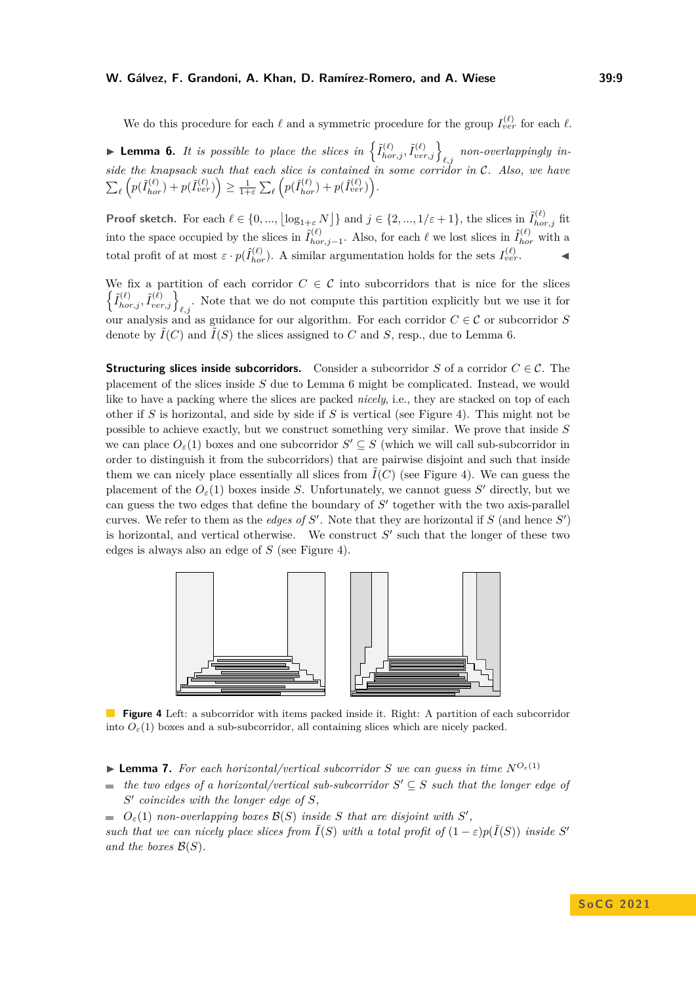#### **W. Gálvez, F. Grandoni, A. Khan, D. Ramírez-Romero, and A. Wiese 39:9**

We do this procedure for each  $\ell$  and a symmetric procedure for the group  $I_{ver}^{(\ell)}$  for each  $\ell$ .

<span id="page-8-0"></span>**• Lemma 6.** It is possible to place the slices in  $\left\{ \tilde{I}_{hor,j}^{(\ell)}, \tilde{I}_{ver,j}^{(\ell)} \right\}_{\ell,j}$  non-overlappingly in*side the knapsack such that each slice is contained in some corridor in* C*. Also, we have*  $\sum_{\ell} \left( p(\tilde{I}_{hor}^{(\ell)}) + p(\tilde{I}_{ver}^{(\ell)}) \right) \ge \frac{1}{1+\varepsilon} \sum_{\ell} \left( p(\hat{I}_{hor}^{(\ell)}) + p(\hat{I}_{ver}^{(\ell)}) \right).$ 

**Proof sketch.** For each  $\ell \in \{0, ..., \lfloor \log_{1+\varepsilon} N \rfloor\}$  and  $j \in \{2, ..., 1/\varepsilon + 1\}$ , the slices in  $\tilde{I}_{hor,j}^{(\ell)}$  fit into the space occupied by the slices in  $\hat{I}_{ho}^{(\ell)}$  $\hat{I}_{hor,j-1}^{(\ell)}$ . Also, for each  $\ell$  we lost slices in  $\hat{I}_{hor}^{(\ell)}$  with a total profit of at most  $\varepsilon \cdot p(\hat{I}_{hor}^{(\ell)})$ . A similar argumentation holds for the sets  $I_{ver}^{(\ell)}$ .

We fix a partition of each corridor  $C \in \mathcal{C}$  into subcorridors that is nice for the slices  $\left\{ \tilde{I}_{hor,j}^{(\ell)}, \tilde{I}_{ver,j}^{(\ell)} \right\}_{\ell,j}$ . Note that we do not compute this partition explicitly but we use it for our analysis and as guidance for our algorithm. For each corridor  $C \in \mathcal{C}$  or subcorridor *S* denote by  $\tilde{I}(C)$  and  $\tilde{I}(S)$  the slices assigned to C and S, resp., due to Lemma [6.](#page-8-0)

**Structuring slices inside subcorridors.** Consider a subcorridor *S* of a corridor  $C \in \mathcal{C}$ . The placement of the slices inside *S* due to Lemma [6](#page-8-0) might be complicated. Instead, we would like to have a packing where the slices are packed *nicely*, i.e., they are stacked on top of each other if *S* is horizontal, and side by side if *S* is vertical (see Figure [4\)](#page-8-1). This might not be possible to achieve exactly, but we construct something very similar. We prove that inside *S* we can place  $O_{\varepsilon}(1)$  boxes and one subcorridor  $S' \subseteq S$  (which we will call sub-subcorridor in order to distinguish it from the subcorridors) that are pairwise disjoint and such that inside them we can nicely place essentially all slices from  $\tilde{I}(C)$  (see Figure [4\)](#page-8-1). We can guess the placement of the  $O_{\varepsilon}(1)$  boxes inside *S*. Unfortunately, we cannot guess *S'* directly, but we can guess the two edges that define the boundary of *S* ′ together with the two axis-parallel curves. We refer to them as the *edges of*  $S'$ . Note that they are horizontal if  $S$  (and hence  $S'$ ) is horizontal, and vertical otherwise. We construct  $S'$  such that the longer of these two edges is always also an edge of *S* (see Figure [4\)](#page-8-1).

<span id="page-8-1"></span>

**Figure 4** Left: a subcorridor with items packed inside it. Right: A partition of each subcorridor into  $O_{\varepsilon}(1)$  boxes and a sub-subcorridor, all containing slices which are nicely packed.

- <span id="page-8-2"></span> $\blacktriangleright$  **Lemma 7.** For each horizontal/vertical subcorridor *S* we can guess in time  $N^{O_{\varepsilon}(1)}$
- *the two edges of a horizontal/vertical sub-subcorridor*  $S' \subseteq S$  *such that the longer edge of*  $\blacksquare$ *S* ′ *coincides with the longer edge of S,*
- $O_{\varepsilon}(1)$  *non-overlapping boxes*  $\mathcal{B}(S)$  *inside S that are disjoint with*  $S'$ ,

*such that we can nicely place slices from*  $\tilde{I}(S)$  *with a total profit of*  $(1 - \varepsilon)p(\tilde{I}(S))$  *inside S*<sup>*'*</sup> *and the boxes*  $\mathcal{B}(S)$ *.*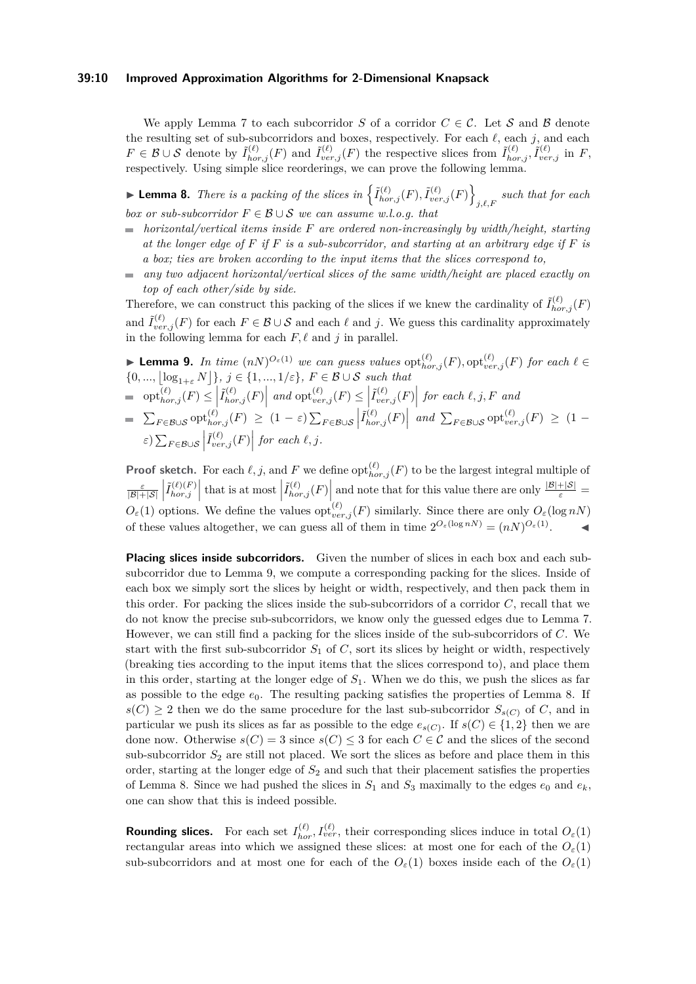### **39:10 Improved Approximation Algorithms for 2-Dimensional Knapsack**

We apply Lemma [7](#page-8-2) to each subcorridor *S* of a corridor  $C \in \mathcal{C}$ . Let S and B denote the resulting set of sub-subcorridors and boxes, respectively. For each *ℓ*, each *j*, and each  $F \in \mathcal{B} \cup \mathcal{S}$  denote by  $\tilde{I}_{hor,j}^{(\ell)}(F)$  and  $\tilde{I}_{ver,j}^{(\ell)}(F)$  the respective slices from  $\tilde{I}_{hor,j}^{(\ell)}, \tilde{I}_{ver,j}^{(\ell)}$  in F, respectively. Using simple slice reorderings, we can prove the following lemma.

<span id="page-9-1"></span>**Example 18.** There is a packing of the slices in  $\left\{ \tilde{I}_{hor,j}^{(\ell)}(F), \tilde{I}_{ver,j}^{(\ell)}(F) \right\}$ *j,ℓ,F such that for each box or sub-subcorridor*  $F \in \mathcal{B} \cup \mathcal{S}$  *we can assume w.l.o.g. that* 

- *horizontal/vertical items inside F are ordered non-increasingly by width/height, starting at the longer edge of F if F is a sub-subcorridor, and starting at an arbitrary edge if F is a box; ties are broken according to the input items that the slices correspond to,*
- *any two adjacent horizontal/vertical slices of the same width/height are placed exactly on*  $\mathcal{L}_{\mathcal{A}}$ *top of each other/side by side.*

Therefore, we can construct this packing of the slices if we knew the cardinality of  $\tilde{I}_{hor,j}^{(\ell)}(F)$ and  $\tilde{I}_{ver,j}^{(\ell)}(F)$  for each  $F \in \mathcal{B} \cup \mathcal{S}$  and each  $\ell$  and *j*. We guess this cardinality approximately in the following lemma for each  $F, \ell$  and  $j$  in parallel.

<span id="page-9-0"></span>► Lemma 9. In time 
$$
(nN)^{O_{\varepsilon}(1)}
$$
 we can guess values  $\text{opt}_{hor,j}^{(\ell)}(F)$ ,  $\text{opt}_{ver,j}^{(\ell)}(F)$  for each  $\ell \in$   
\n $\{0, ..., \lfloor \log_{1+\varepsilon} N \rfloor\}$ ,  $j \in \{1, ..., 1/\varepsilon\}$ ,  $F \in \mathcal{B} \cup \mathcal{S}$  such that  
\n
$$
\text{opt}_{hor,j}^{(\ell)}(F) \leq \left| \tilde{I}_{hor,j}^{(\ell)}(F) \right| \text{ and } \text{opt}_{ver,j}^{(\ell)}(F) \leq \left| \tilde{I}_{ver,j}^{(\ell)}(F) \right| \text{ for each } \ell, j, F \text{ and}
$$
  
\n
$$
\sum_{F \in \mathcal{B} \cup \mathcal{S}} \text{opt}_{hor,j}^{(\ell)}(F) \geq (1 - \varepsilon) \sum_{F \in \mathcal{B} \cup \mathcal{S}} \left| \tilde{I}_{hor,j}^{(\ell)}(F) \right| \text{ and } \sum_{F \in \mathcal{B} \cup \mathcal{S}} \text{opt}_{ver,j}^{(\ell)}(F) \geq (1 - \varepsilon) \sum_{F \in \mathcal{B} \cup \mathcal{S}} \left| \tilde{I}_{hor,j}^{(\ell)}(F) \right| \text{ and } \sum_{F \in \mathcal{B} \cup \mathcal{S}} \text{opt}_{ver,j}^{(\ell)}(F) \geq (1 - \varepsilon) \sum_{F \in \mathcal{B} \cup \mathcal{S}} \left| \tilde{I}_{per,j}^{(\ell)}(F) \right| \text{ for each } \ell, j.
$$

**Proof sketch.** For each  $\ell$ , j, and F we define  $\text{opt}_{hor,j}^{(\ell)}(F)$  to be the largest integral multiple of  $\frac{\varepsilon}{|\mathcal{B}|+|\mathcal{S}|}\left|\tilde{I}_{hor,j}^{(\ell)(F)}\right|$  $\left| \tilde{I}_{hor,j}^{(\ell)(F)} \right|$  that is at most  $\left| \tilde{I}_{hor,j}^{(\ell)}(F) \right|$  and note that for this value there are only  $\frac{|B|+|S|}{\varepsilon}$  $O_{\varepsilon}(1)$  options. We define the values  $opt_{ver,j}^{(\ell)}(F)$  similarly. Since there are only  $O_{\varepsilon}(\log nN)$ of these values altogether, we can guess all of them in time  $2^{O_{\varepsilon}(\log n)} = (nN)^{O_{\varepsilon}(1)}$ . ◀

**Placing slices inside subcorridors.** Given the number of slices in each box and each subsubcorridor due to Lemma [9,](#page-9-0) we compute a corresponding packing for the slices. Inside of each box we simply sort the slices by height or width, respectively, and then pack them in this order. For packing the slices inside the sub-subcorridors of a corridor *C*, recall that we do not know the precise sub-subcorridors, we know only the guessed edges due to Lemma [7.](#page-8-2) However, we can still find a packing for the slices inside of the sub-subcorridors of *C*. We start with the first sub-subcorridor  $S_1$  of  $C$ , sort its slices by height or width, respectively (breaking ties according to the input items that the slices correspond to), and place them in this order, starting at the longer edge of  $S<sub>1</sub>$ . When we do this, we push the slices as far as possible to the edge  $e_0$ . The resulting packing satisfies the properties of Lemma [8.](#page-9-1) If  $s(C) \geq 2$  then we do the same procedure for the last sub-subcorridor  $S_{s(C)}$  of *C*, and in particular we push its slices as far as possible to the edge  $e_{s(C)}$ . If  $s(C) \in \{1,2\}$  then we are done now. Otherwise  $s(C) = 3$  since  $s(C) \leq 3$  for each  $C \in \mathcal{C}$  and the slices of the second sub-subcorridor  $S_2$  are still not placed. We sort the slices as before and place them in this order, starting at the longer edge of *S*<sup>2</sup> and such that their placement satisfies the properties of Lemma [8.](#page-9-1) Since we had pushed the slices in  $S_1$  and  $S_3$  maximally to the edges  $e_0$  and  $e_k$ , one can show that this is indeed possible.

**Rounding slices.** For each set  $I_{hor}^{(\ell)}$ ,  $I_{ver}^{(\ell)}$ , their corresponding slices induce in total  $O_{\varepsilon}(1)$ rectangular areas into which we assigned these slices: at most one for each of the  $O_{\varepsilon}(1)$ sub-subcorridors and at most one for each of the  $O_{\varepsilon}(1)$  boxes inside each of the  $O_{\varepsilon}(1)$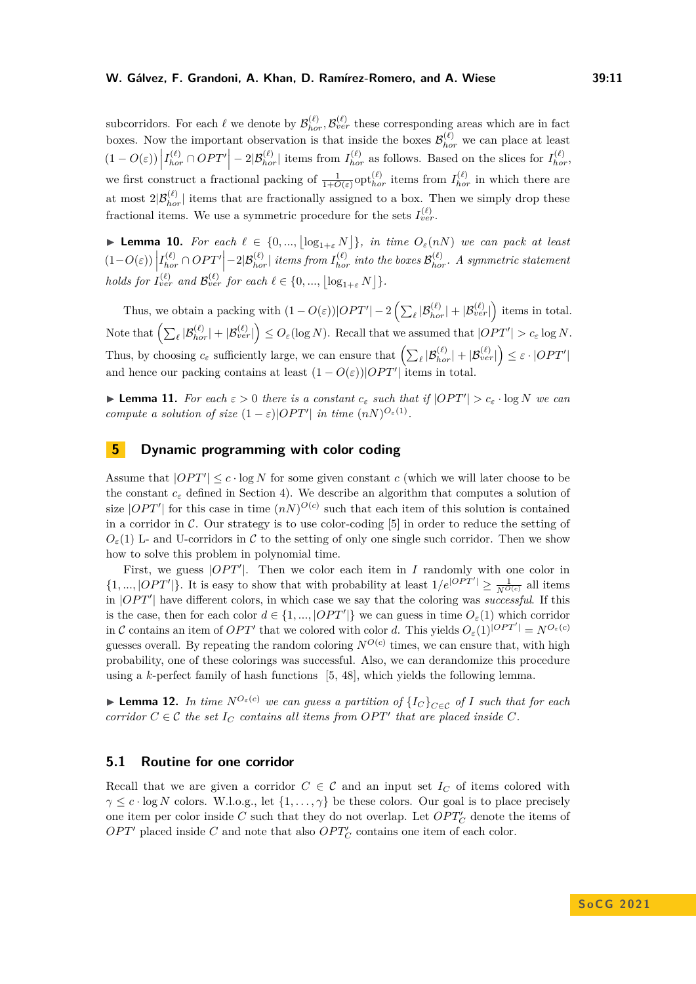### **W. Gálvez, F. Grandoni, A. Khan, D. Ramírez-Romero, and A. Wiese 39:11**

subcorridors. For each  $\ell$  we denote by  $\mathcal{B}_{hor}^{(\ell)}, \mathcal{B}_{ver}^{(\ell)}$  these corresponding areas which are in fact boxes. Now the important observation is that inside the boxes  $\mathcal{B}_{hor}^{(\ell)}$  we can place at least  $(1 - O(\varepsilon)) \left| I_{hor}^{(\ell)} \cap OPT' \right| - 2|\mathcal{B}_{hor}^{(\ell)}|$  items from  $I_{hor}^{(\ell)}$  as follows. Based on the slices for  $I_{hor}^{(\ell)}$ ,  $\vert$ we first construct a fractional packing of  $\frac{1}{1+O(\varepsilon)}$  opt $_{hor}^{(\ell)}$  items from  $I_{hor}^{(\ell)}$  in which there are at most  $2|\mathcal{B}_{hor}^{(\ell)}|$  items that are fractionally assigned to a box. Then we simply drop these fractional items. We use a symmetric procedure for the sets  $I_{ver}^{(\ell)}$ .

**► Lemma 10.** For each  $\ell \in \{0, ..., \lfloor \log_{1+\varepsilon} N \rfloor\}$ , in time  $O_{\varepsilon}(nN)$  we can pack at least  $(1-O(\varepsilon))\left|I_{hor}^{(\ell)} \cap OPT'\right| - 2|\mathcal{B}_{hor}^{(\ell)}|$  items from  $I_{hor}^{(\ell)}$  into the boxes  $\mathcal{B}_{hor}^{(\ell)}$ . A symmetric statement  $\mid$ *holds for*  $I_{ver}^{(\ell)}$  *and*  $\mathcal{B}_{ver}^{(\ell)}$  *for each*  $\ell \in \{0, ..., \lfloor \log_{1+\varepsilon} N \rfloor\}$ .

Thus, we obtain a packing with  $(1 - O(\varepsilon))|OPT'| - 2\left(\sum_{\ell} |\mathcal{B}_{hor}^{(\ell)}| + |\mathcal{B}_{ver}^{(\ell)}|\right)$  items in total.  $\text{Note that } \left( \sum_{\ell} |\mathcal{B}^{(\ell)}_{hor}| + |\mathcal{B}^{(\ell)}_{ver}| \right) \leq O_{\varepsilon}(\log N). \text{ Recall that we assumed that } |OPT'| > c_{\varepsilon} \log N.$ Thus, by choosing  $c_{\varepsilon}$  sufficiently large, we can ensure that  $\left(\sum_{\ell} |\mathcal{B}_{hor}^{(\ell)}| + |\mathcal{B}_{ver}^{(\ell)}|\right) \leq \varepsilon \cdot |OPT'|$ and hence our packing contains at least  $(1 - O(\varepsilon))|OPT'|$  items in total.

<span id="page-10-1"></span>**Example 11.** For each  $\varepsilon > 0$  there is a constant  $c_{\varepsilon}$  such that if  $|OPT'| > c_{\varepsilon} \cdot \log N$  we can *compute a solution of size*  $(1 - \varepsilon)|OPT'|$  *in time*  $(nN)^{O_{\varepsilon}(1)}$ *.* 

# <span id="page-10-0"></span>**5 Dynamic programming with color coding**

Assume that  $|OPT'| \leq c \cdot \log N$  for some given constant *c* (which we will later choose to be the constant *c<sup>ε</sup>* defined in Section [4\)](#page-6-0). We describe an algorithm that computes a solution of size  $|OPT'|$  for this case in time  $(nN)^{O(c)}$  such that each item of this solution is contained in a corridor in C. Our strategy is to use color-coding [\[5\]](#page-13-13) in order to reduce the setting of  $O_{\varepsilon}(1)$  L- and U-corridors in C to the setting of only one single such corridor. Then we show how to solve this problem in polynomial time.

First, we guess  $[OPT']$ . Then we color each item in *I* randomly with one color in  $\{1, ..., |OPT'|\}$ . It is easy to show that with probability at least  $1/e^{|OPT'|} \ge \frac{1}{N^{O(c)}}$  all items in |*OP T*′ | have different colors, in which case we say that the coloring was *successful*. If this is the case, then for each color  $d \in \{1, ..., |OPT'|\}$  we can guess in time  $O_{\varepsilon}(1)$  which corridor in C contains an item of *OPT'* that we colored with color d. This yields  $O_{\varepsilon}(1)^{|OPT'|} = N^{O_{\varepsilon}(c)}$ guesses overall. By repeating the random coloring  $N^{O(c)}$  times, we can ensure that, with high probability, one of these colorings was successful. Also, we can derandomize this procedure using a *k*-perfect family of hash functions [\[5,](#page-13-13) [48\]](#page-16-5), which yields the following lemma.

▶ **Lemma 12.** *In time*  $N^{O_{\varepsilon}(c)}$  *we can guess a partition of*  $\{I_C\}_{C \in \mathcal{C}}$  *of I such that for each corridor*  $C \in \mathcal{C}$  *the set*  $I_C$  *contains all items from OPT' that are placed inside*  $C$ *.* 

## **5.1 Routine for one corridor**

Recall that we are given a corridor  $C \in \mathcal{C}$  and an input set  $I_C$  of items colored with  $\gamma \leq c \cdot \log N$  colors. W.l.o.g., let  $\{1, \ldots, \gamma\}$  be these colors. Our goal is to place precisely one item per color inside  $C$  such that they do not overlap. Let  $OPT'_{C}$  denote the items of  $OPT'$  placed inside  $C$  and note that also  $OPT'_{C}$  contains one item of each color.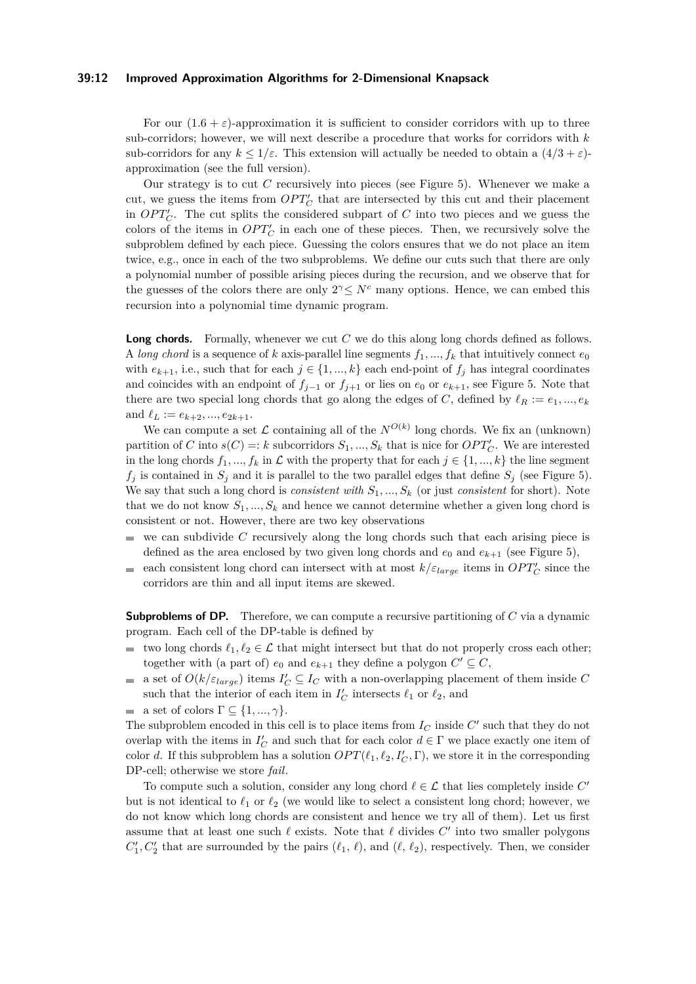#### **39:12 Improved Approximation Algorithms for 2-Dimensional Knapsack**

For our  $(1.6 + \varepsilon)$ -approximation it is sufficient to consider corridors with up to three sub-corridors; however, we will next describe a procedure that works for corridors with *k* sub-corridors for any  $k \leq 1/\varepsilon$ . This extension will actually be needed to obtain a  $(4/3 + \varepsilon)$ approximation (see the full version).

Our strategy is to cut *C* recursively into pieces (see Figure [5\)](#page-12-0). Whenever we make a cut, we guess the items from  $OPT'_{C}$  that are intersected by this cut and their placement in  $OPT'_{C}$ . The cut splits the considered subpart of *C* into two pieces and we guess the colors of the items in  $OPT'_{C}$  in each one of these pieces. Then, we recursively solve the subproblem defined by each piece. Guessing the colors ensures that we do not place an item twice, e.g., once in each of the two subproblems. We define our cuts such that there are only a polynomial number of possible arising pieces during the recursion, and we observe that for the guesses of the colors there are only  $2^{\gamma} \leq N^c$  many options. Hence, we can embed this recursion into a polynomial time dynamic program.

**Long chords.** Formally, whenever we cut *C* we do this along long chords defined as follows. A *long chord* is a sequence of *k* axis-parallel line segments  $f_1, ..., f_k$  that intuitively connect  $e_0$ with  $e_{k+1}$ , i.e., such that for each  $j \in \{1, ..., k\}$  each end-point of  $f_j$  has integral coordinates and coincides with an endpoint of  $f_{j-1}$  or  $f_{j+1}$  or lies on  $e_0$  or  $e_{k+1}$ , see Figure [5.](#page-12-0) Note that there are two special long chords that go along the edges of *C*, defined by  $\ell_R := e_1, ..., e_k$ and  $\ell_L := e_{k+2}, ..., e_{2k+1}$ .

We can compute a set  $\mathcal L$  containing all of the  $N^{O(k)}$  long chords. We fix an (unknown) partition of *C* into  $s(C) =: k$  subcorridors  $S_1, ..., S_k$  that is nice for  $OPT'_{C}$ . We are interested in the long chords  $f_1, ..., f_k$  in  $\mathcal L$  with the property that for each  $j \in \{1, ..., k\}$  the line segment  $f_j$  is contained in  $S_j$  and it is parallel to the two parallel edges that define  $S_j$  (see Figure [5\)](#page-12-0). We say that such a long chord is *consistent with*  $S_1, ..., S_k$  (or just *consistent* for short). Note that we do not know  $S_1, ..., S_k$  and hence we cannot determine whether a given long chord is consistent or not. However, there are two key observations

- we can subdivide *C* recursively along the long chords such that each arising piece is m. defined as the area enclosed by two given long chords and  $e_0$  and  $e_{k+1}$  (see Figure [5\)](#page-12-0),
- each consistent long chord can intersect with at most  $k/\varepsilon_{large}$  items in  $OPT'_{C}$  since the  $\mathbf{r}$ corridors are thin and all input items are skewed.

**Subproblems of DP.** Therefore, we can compute a recursive partitioning of *C* via a dynamic program. Each cell of the DP-table is defined by

- **■** two long chords  $\ell_1, \ell_2 \in \mathcal{L}$  that might intersect but that do not properly cross each other; together with (a part of)  $e_0$  and  $e_{k+1}$  they define a polygon  $C' \subseteq C$ ,
- a set of  $O(k/\varepsilon_{large})$  items  $I'_C \subseteq I_C$  with a non-overlapping placement of them inside C  $\mathcal{L}_{\mathcal{A}}$ such that the interior of each item in  $I_C'$  intersects  $\ell_1$  or  $\ell_2$ , and
- **a** set of colors  $\Gamma \subseteq \{1, ..., \gamma\}.$

The subproblem encoded in this cell is to place items from  $I_C$  inside  $C'$  such that they do not overlap with the items in  $I'_C$  and such that for each color  $d \in \Gamma$  we place exactly one item of color *d*. If this subproblem has a solution  $OPT(\ell_1, \ell_2, I'_C, \Gamma)$ , we store it in the corresponding DP-cell; otherwise we store *fail*.

To compute such a solution, consider any long chord  $\ell \in \mathcal{L}$  that lies completely inside  $C'$ but is not identical to  $\ell_1$  or  $\ell_2$  (we would like to select a consistent long chord; however, we do not know which long chords are consistent and hence we try all of them). Let us first assume that at least one such *ℓ* exists. Note that *ℓ* divides *C* ′ into two smaller polygons  $C'_{1}, C'_{2}$  that are surrounded by the pairs  $(\ell_1, \ell)$ , and  $(\ell, \ell_2)$ , respectively. Then, we consider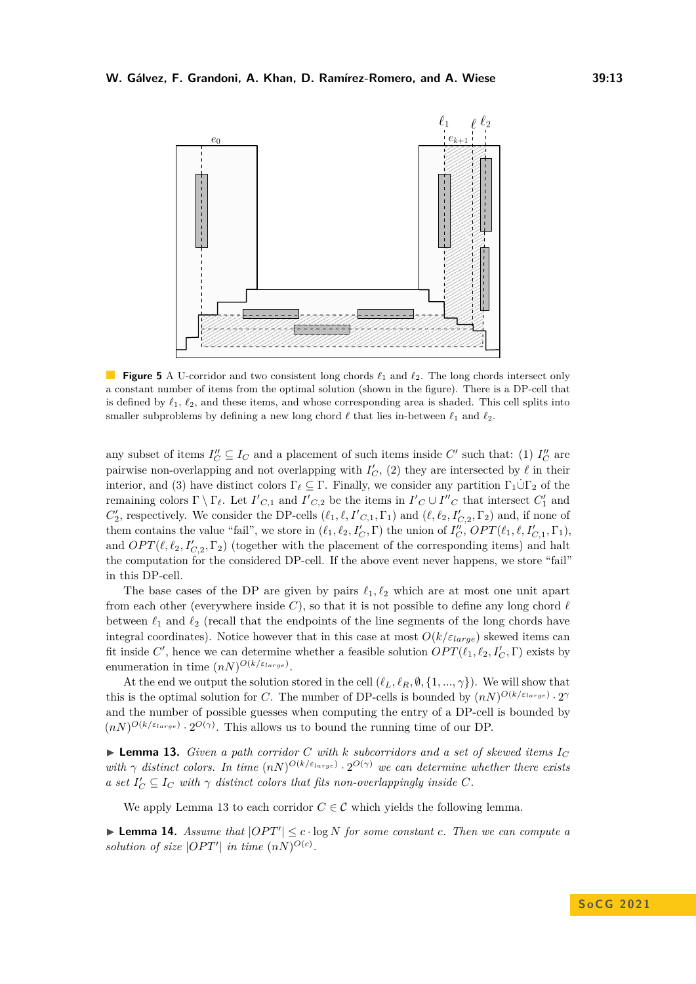<span id="page-12-0"></span>

**Figure 5** A U-corridor and two consistent long chords *ℓ*<sup>1</sup> and *ℓ*2. The long chords intersect only a constant number of items from the optimal solution (shown in the figure). There is a DP-cell that is defined by  $\ell_1, \ell_2$ , and these items, and whose corresponding area is shaded. This cell splits into smaller subproblems by defining a new long chord  $\ell$  that lies in-between  $\ell_1$  and  $\ell_2$ .

any subset of items  $I''_C \subseteq I_C$  and a placement of such items inside  $C'$  such that: (1)  $I''_C$  are pairwise non-overlapping and not overlapping with  $I_C'$ , (2) they are intersected by  $\ell$  in their interior, and (3) have distinct colors  $\Gamma_\ell \subseteq \Gamma$ . Finally, we consider any partition  $\Gamma_1 \dot{\cup} \Gamma_2$  of the remaining colors  $\Gamma \setminus \Gamma_{\ell}$ . Let  $I'_{C,1}$  and  $I'_{C,2}$  be the items in  $I'_{C} \cup I''_{C}$  that intersect  $C'_{1}$  and  $C'_{2}$ , respectively. We consider the DP-cells  $(\ell_1, \ell, I'_{C,1}, \Gamma_1)$  and  $(\ell, \ell_2, I'_{C,2}, \Gamma_2)$  and, if none of them contains the value "fail", we store in  $(\ell_1, \ell_2, I'_C, \Gamma)$  the union of  $I''_C$ ,  $OPT(\ell_1, \ell, I'_{C,1}, \Gamma_1)$ , and  $OPT(\ell, \ell_2, I'_{C,2}, \Gamma_2)$  (together with the placement of the corresponding items) and halt the computation for the considered DP-cell. If the above event never happens, we store "fail" in this DP-cell.

The base cases of the DP are given by pairs  $\ell_1, \ell_2$  which are at most one unit apart from each other (everywhere inside  $C$ ), so that it is not possible to define any long chord  $\ell$ between  $\ell_1$  and  $\ell_2$  (recall that the endpoints of the line segments of the long chords have integral coordinates). Notice however that in this case at most  $O(k/\varepsilon_{large})$  skewed items can fit inside  $C'$ , hence we can determine whether a feasible solution  $OPT(\ell_1, \ell_2, I'_C, \Gamma)$  exists by enumeration in time  $(nN)^{O(k/\varepsilon_{large})}$ .

At the end we output the solution stored in the cell  $(\ell_L, \ell_R, \emptyset, \{1, ..., \gamma\})$ . We will show that this is the optimal solution for *C*. The number of DP-cells is bounded by  $(nN)^{O(k/\varepsilon_{large})} \cdot 2^{\gamma}$ and the number of possible guesses when computing the entry of a DP-cell is bounded by  $(nN)^{O(k/\varepsilon_{large})} \cdot 2^{O(\gamma)}$ . This allows us to bound the running time of our DP.

<span id="page-12-1"></span> $\blacktriangleright$  **Lemma 13.** *Given a path corridor C with k subcorridors and a set of skewed items*  $I_C$ with  $\gamma$  distinct colors. In time  $(nN)^{O(k/\varepsilon_{large})} \cdot 2^{O(\gamma)}$  we can determine whether there exists *a* set  $I'_C \subseteq I_C$  with  $\gamma$  distinct colors that fits non-overlappingly inside C.

We apply Lemma [13](#page-12-1) to each corridor  $C \in \mathcal{C}$  which yields the following lemma.

<span id="page-12-2"></span>▶ **Lemma 14.** *Assume that*  $|OPT'|$   $\leq$   $c \cdot \log N$  *for some constant c. Then we can compute a solution of size*  $|OPT'|$  *in time*  $(nN)^{O(c)}$ *.*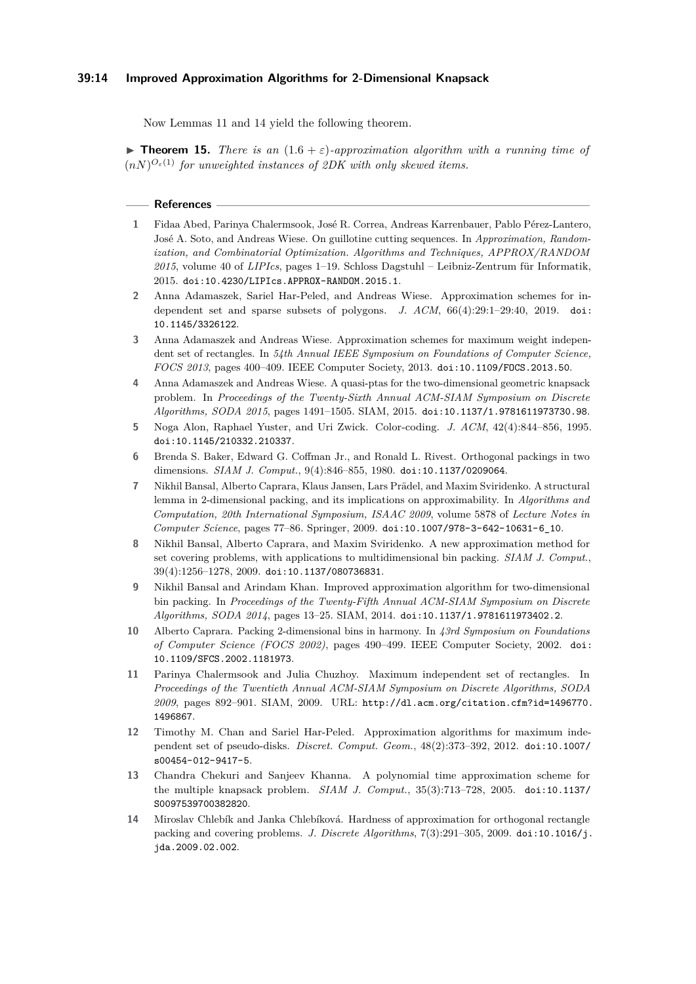Now Lemmas [11](#page-10-1) and [14](#page-12-2) yield the following theorem.

**Findmergeright 15.** *There is an*  $(1.6 + \varepsilon)$ *-approximation algorithm with a running time of*  $(nN)^{O_{\varepsilon}(1)}$  *for unweighted instances of 2DK with only skewed items.* 

#### **References**

- <span id="page-13-4"></span>**1** Fidaa Abed, Parinya Chalermsook, José R. Correa, Andreas Karrenbauer, Pablo Pérez-Lantero, José A. Soto, and Andreas Wiese. On guillotine cutting sequences. In *Approximation, Randomization, and Combinatorial Optimization. Algorithms and Techniques, APPROX/RANDOM 2015*, volume 40 of *LIPIcs*, pages 1–19. Schloss Dagstuhl – Leibniz-Zentrum für Informatik, 2015. [doi:10.4230/LIPIcs.APPROX-RANDOM.2015.1](https://doi.org/10.4230/LIPIcs.APPROX-RANDOM.2015.1).
- <span id="page-13-1"></span>**2** Anna Adamaszek, Sariel Har-Peled, and Andreas Wiese. Approximation schemes for independent set and sparse subsets of polygons. *J. ACM*, 66(4):29:1–29:40, 2019. [doi:](https://doi.org/10.1145/3326122) [10.1145/3326122](https://doi.org/10.1145/3326122).
- <span id="page-13-9"></span>**3** Anna Adamaszek and Andreas Wiese. Approximation schemes for maximum weight independent set of rectangles. In *54th Annual IEEE Symposium on Foundations of Computer Science, FOCS 2013*, pages 400–409. IEEE Computer Society, 2013. [doi:10.1109/FOCS.2013.50](https://doi.org/10.1109/FOCS.2013.50).
- <span id="page-13-0"></span>**4** Anna Adamaszek and Andreas Wiese. A quasi-ptas for the two-dimensional geometric knapsack problem. In *Proceedings of the Twenty-Sixth Annual ACM-SIAM Symposium on Discrete Algorithms, SODA 2015*, pages 1491–1505. SIAM, 2015. [doi:10.1137/1.9781611973730.98](https://doi.org/10.1137/1.9781611973730.98).
- <span id="page-13-13"></span>**5** Noga Alon, Raphael Yuster, and Uri Zwick. Color-coding. *J. ACM*, 42(4):844–856, 1995. [doi:10.1145/210332.210337](https://doi.org/10.1145/210332.210337).
- <span id="page-13-8"></span>**6** Brenda S. Baker, Edward G. Coffman Jr., and Ronald L. Rivest. Orthogonal packings in two dimensions. *SIAM J. Comput.*, 9(4):846–855, 1980. [doi:10.1137/0209064](https://doi.org/10.1137/0209064).
- <span id="page-13-2"></span>**7** Nikhil Bansal, Alberto Caprara, Klaus Jansen, Lars Prädel, and Maxim Sviridenko. A structural lemma in 2-dimensional packing, and its implications on approximability. In *Algorithms and Computation, 20th International Symposium, ISAAC 2009*, volume 5878 of *Lecture Notes in Computer Science*, pages 77–86. Springer, 2009. [doi:10.1007/978-3-642-10631-6\\_10](https://doi.org/10.1007/978-3-642-10631-6_10).
- <span id="page-13-6"></span>**8** Nikhil Bansal, Alberto Caprara, and Maxim Sviridenko. A new approximation method for set covering problems, with applications to multidimensional bin packing. *SIAM J. Comput.*, 39(4):1256–1278, 2009. [doi:10.1137/080736831](https://doi.org/10.1137/080736831).
- <span id="page-13-5"></span>**9** Nikhil Bansal and Arindam Khan. Improved approximation algorithm for two-dimensional bin packing. In *Proceedings of the Twenty-Fifth Annual ACM-SIAM Symposium on Discrete Algorithms, SODA 2014*, pages 13–25. SIAM, 2014. [doi:10.1137/1.9781611973402.2](https://doi.org/10.1137/1.9781611973402.2).
- <span id="page-13-7"></span>**10** Alberto Caprara. Packing 2-dimensional bins in harmony. In *43rd Symposium on Foundations of Computer Science (FOCS 2002)*, pages 490–499. IEEE Computer Society, 2002. [doi:](https://doi.org/10.1109/SFCS.2002.1181973) [10.1109/SFCS.2002.1181973](https://doi.org/10.1109/SFCS.2002.1181973).
- <span id="page-13-10"></span>**11** Parinya Chalermsook and Julia Chuzhoy. Maximum independent set of rectangles. In *Proceedings of the Twentieth Annual ACM-SIAM Symposium on Discrete Algorithms, SODA 2009*, pages 892–901. SIAM, 2009. URL: [http://dl.acm.org/citation.cfm?id=1496770.](http://dl.acm.org/citation.cfm?id=1496770.1496867) [1496867](http://dl.acm.org/citation.cfm?id=1496770.1496867).
- <span id="page-13-11"></span>**12** Timothy M. Chan and Sariel Har-Peled. Approximation algorithms for maximum independent set of pseudo-disks. *Discret. Comput. Geom.*, 48(2):373–392, 2012. [doi:10.1007/](https://doi.org/10.1007/s00454-012-9417-5) [s00454-012-9417-5](https://doi.org/10.1007/s00454-012-9417-5).
- <span id="page-13-12"></span>**13** Chandra Chekuri and Sanjeev Khanna. A polynomial time approximation scheme for the multiple knapsack problem. *SIAM J. Comput.*, 35(3):713–728, 2005. [doi:10.1137/](https://doi.org/10.1137/S0097539700382820) [S0097539700382820](https://doi.org/10.1137/S0097539700382820).
- <span id="page-13-3"></span>**14** Miroslav Chlebík and Janka Chlebíková. Hardness of approximation for orthogonal rectangle packing and covering problems. *J. Discrete Algorithms*, 7(3):291–305, 2009. [doi:10.1016/j.](https://doi.org/10.1016/j.jda.2009.02.002) [jda.2009.02.002](https://doi.org/10.1016/j.jda.2009.02.002).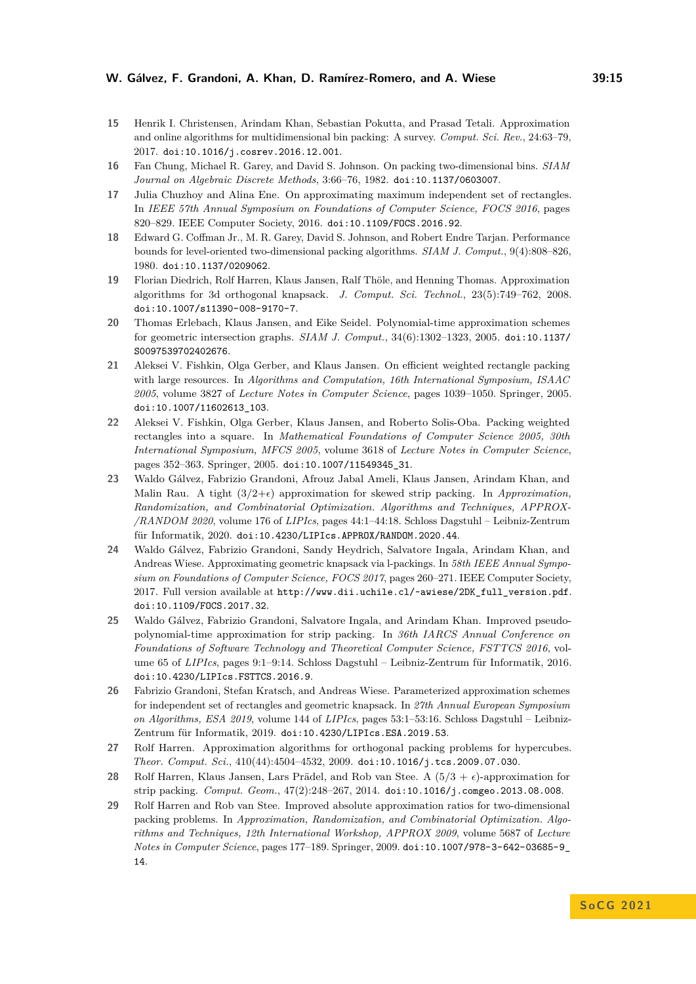- <span id="page-14-14"></span>**15** Henrik I. Christensen, Arindam Khan, Sebastian Pokutta, and Prasad Tetali. Approximation and online algorithms for multidimensional bin packing: A survey. *Comput. Sci. Rev.*, 24:63–79, 2017. [doi:10.1016/j.cosrev.2016.12.001](https://doi.org/10.1016/j.cosrev.2016.12.001).
- <span id="page-14-7"></span>**16** Fan Chung, Michael R. Garey, and David S. Johnson. On packing two-dimensional bins. *SIAM Journal on Algebraic Discrete Methods*, 3:66–76, 1982. [doi:10.1137/0603007](https://doi.org/10.1137/0603007).
- <span id="page-14-12"></span>**17** Julia Chuzhoy and Alina Ene. On approximating maximum independent set of rectangles. In *IEEE 57th Annual Symposium on Foundations of Computer Science, FOCS 2016*, pages 820–829. IEEE Computer Society, 2016. [doi:10.1109/FOCS.2016.92](https://doi.org/10.1109/FOCS.2016.92).
- <span id="page-14-0"></span>**18** Edward G. Coffman Jr., M. R. Garey, David S. Johnson, and Robert Endre Tarjan. Performance bounds for level-oriented two-dimensional packing algorithms. *SIAM J. Comput.*, 9(4):808–826, 1980. [doi:10.1137/0209062](https://doi.org/10.1137/0209062).
- <span id="page-14-4"></span>**19** Florian Diedrich, Rolf Harren, Klaus Jansen, Ralf Thöle, and Henning Thomas. Approximation algorithms for 3d orthogonal knapsack. *J. Comput. Sci. Technol.*, 23(5):749–762, 2008. [doi:10.1007/s11390-008-9170-7](https://doi.org/10.1007/s11390-008-9170-7).
- <span id="page-14-13"></span>**20** Thomas Erlebach, Klaus Jansen, and Eike Seidel. Polynomial-time approximation schemes for geometric intersection graphs. *SIAM J. Comput.*, 34(6):1302–1323, 2005. [doi:10.1137/](https://doi.org/10.1137/S0097539702402676) [S0097539702402676](https://doi.org/10.1137/S0097539702402676).
- <span id="page-14-3"></span>**21** Aleksei V. Fishkin, Olga Gerber, and Klaus Jansen. On efficient weighted rectangle packing with large resources. In *Algorithms and Computation, 16th International Symposium, ISAAC 2005*, volume 3827 of *Lecture Notes in Computer Science*, pages 1039–1050. Springer, 2005. [doi:10.1007/11602613\\_103](https://doi.org/10.1007/11602613_103).
- <span id="page-14-2"></span>**22** Aleksei V. Fishkin, Olga Gerber, Klaus Jansen, and Roberto Solis-Oba. Packing weighted rectangles into a square. In *Mathematical Foundations of Computer Science 2005, 30th International Symposium, MFCS 2005*, volume 3618 of *Lecture Notes in Computer Science*, pages 352–363. Springer, 2005. [doi:10.1007/11549345\\_31](https://doi.org/10.1007/11549345_31).
- <span id="page-14-10"></span>**23** Waldo Gálvez, Fabrizio Grandoni, Afrouz Jabal Ameli, Klaus Jansen, Arindam Khan, and Malin Rau. A tight  $(3/2+\epsilon)$  approximation for skewed strip packing. In *Approximation*, *Randomization, and Combinatorial Optimization. Algorithms and Techniques, APPROX- /RANDOM 2020*, volume 176 of *LIPIcs*, pages 44:1–44:18. Schloss Dagstuhl – Leibniz-Zentrum für Informatik, 2020. [doi:10.4230/LIPIcs.APPROX/RANDOM.2020.44](https://doi.org/10.4230/LIPIcs.APPROX/RANDOM.2020.44).
- <span id="page-14-1"></span>**24** Waldo Gálvez, Fabrizio Grandoni, Sandy Heydrich, Salvatore Ingala, Arindam Khan, and Andreas Wiese. Approximating geometric knapsack via l-packings. In *58th IEEE Annual Symposium on Foundations of Computer Science, FOCS 2017*, pages 260–271. IEEE Computer Society, 2017. Full version available at [http://www.dii.uchile.cl/~awiese/2DK\\_full\\_version.pdf](http://www.dii.uchile.cl/~awiese/2DK_full_version.pdf). [doi:10.1109/FOCS.2017.32](https://doi.org/10.1109/FOCS.2017.32).
- <span id="page-14-11"></span>**25** Waldo Gálvez, Fabrizio Grandoni, Salvatore Ingala, and Arindam Khan. Improved pseudopolynomial-time approximation for strip packing. In *36th IARCS Annual Conference on Foundations of Software Technology and Theoretical Computer Science, FSTTCS 2016*, volume 65 of *LIPIcs*, pages 9:1–9:14. Schloss Dagstuhl – Leibniz-Zentrum für Informatik, 2016. [doi:10.4230/LIPIcs.FSTTCS.2016.9](https://doi.org/10.4230/LIPIcs.FSTTCS.2016.9).
- <span id="page-14-6"></span>**26** Fabrizio Grandoni, Stefan Kratsch, and Andreas Wiese. Parameterized approximation schemes for independent set of rectangles and geometric knapsack. In *27th Annual European Symposium on Algorithms, ESA 2019*, volume 144 of *LIPIcs*, pages 53:1–53:16. Schloss Dagstuhl – Leibniz-Zentrum für Informatik, 2019. [doi:10.4230/LIPIcs.ESA.2019.53](https://doi.org/10.4230/LIPIcs.ESA.2019.53).
- <span id="page-14-5"></span>**27** Rolf Harren. Approximation algorithms for orthogonal packing problems for hypercubes. *Theor. Comput. Sci.*, 410(44):4504–4532, 2009. [doi:10.1016/j.tcs.2009.07.030](https://doi.org/10.1016/j.tcs.2009.07.030).
- <span id="page-14-8"></span>**28** Rolf Harren, Klaus Jansen, Lars Prädel, and Rob van Stee. A  $(5/3 + \epsilon)$ -approximation for strip packing. *Comput. Geom.*, 47(2):248–267, 2014. [doi:10.1016/j.comgeo.2013.08.008](https://doi.org/10.1016/j.comgeo.2013.08.008).
- <span id="page-14-9"></span>**29** Rolf Harren and Rob van Stee. Improved absolute approximation ratios for two-dimensional packing problems. In *Approximation, Randomization, and Combinatorial Optimization. Algorithms and Techniques, 12th International Workshop, APPROX 2009*, volume 5687 of *Lecture Notes in Computer Science*, pages 177–189. Springer, 2009. [doi:10.1007/978-3-642-03685-9\\_](https://doi.org/10.1007/978-3-642-03685-9_14) [14](https://doi.org/10.1007/978-3-642-03685-9_14).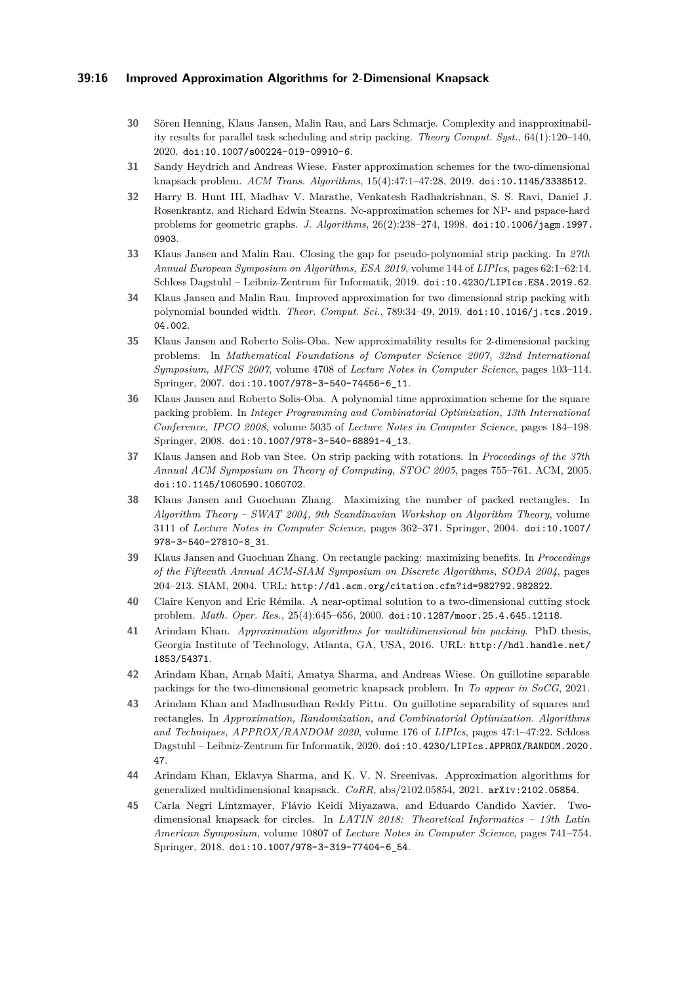## **39:16 Improved Approximation Algorithms for 2-Dimensional Knapsack**

- <span id="page-15-11"></span>**30** Sören Henning, Klaus Jansen, Malin Rau, and Lars Schmarje. Complexity and inapproximability results for parallel task scheduling and strip packing. *Theory Comput. Syst.*, 64(1):120–140, 2020. [doi:10.1007/s00224-019-09910-6](https://doi.org/10.1007/s00224-019-09910-6).
- <span id="page-15-3"></span>**31** Sandy Heydrich and Andreas Wiese. Faster approximation schemes for the two-dimensional knapsack problem. *ACM Trans. Algorithms*, 15(4):47:1–47:28, 2019. [doi:10.1145/3338512](https://doi.org/10.1145/3338512).
- <span id="page-15-14"></span>**32** Harry B. Hunt III, Madhav V. Marathe, Venkatesh Radhakrishnan, S. S. Ravi, Daniel J. Rosenkrantz, and Richard Edwin Stearns. Nc-approximation schemes for NP- and pspace-hard problems for geometric graphs. *J. Algorithms*, 26(2):238–274, 1998. [doi:10.1006/jagm.1997.](https://doi.org/10.1006/jagm.1997.0903) [0903](https://doi.org/10.1006/jagm.1997.0903).
- <span id="page-15-12"></span>**33** Klaus Jansen and Malin Rau. Closing the gap for pseudo-polynomial strip packing. In *27th Annual European Symposium on Algorithms, ESA 2019*, volume 144 of *LIPIcs*, pages 62:1–62:14. Schloss Dagstuhl – Leibniz-Zentrum für Informatik, 2019. [doi:10.4230/LIPIcs.ESA.2019.62](https://doi.org/10.4230/LIPIcs.ESA.2019.62).
- <span id="page-15-10"></span>**34** Klaus Jansen and Malin Rau. Improved approximation for two dimensional strip packing with polynomial bounded width. *Theor. Comput. Sci.*, 789:34–49, 2019. [doi:10.1016/j.tcs.2019.](https://doi.org/10.1016/j.tcs.2019.04.002) [04.002](https://doi.org/10.1016/j.tcs.2019.04.002).
- <span id="page-15-2"></span>**35** Klaus Jansen and Roberto Solis-Oba. New approximability results for 2-dimensional packing problems. In *Mathematical Foundations of Computer Science 2007, 32nd International Symposium, MFCS 2007*, volume 4708 of *Lecture Notes in Computer Science*, pages 103–114. Springer, 2007. [doi:10.1007/978-3-540-74456-6\\_11](https://doi.org/10.1007/978-3-540-74456-6_11).
- <span id="page-15-4"></span>**36** Klaus Jansen and Roberto Solis-Oba. A polynomial time approximation scheme for the square packing problem. In *Integer Programming and Combinatorial Optimization, 13th International Conference, IPCO 2008*, volume 5035 of *Lecture Notes in Computer Science*, pages 184–198. Springer, 2008. [doi:10.1007/978-3-540-68891-4\\_13](https://doi.org/10.1007/978-3-540-68891-4_13).
- <span id="page-15-13"></span>**37** Klaus Jansen and Rob van Stee. On strip packing with rotations. In *Proceedings of the 37th Annual ACM Symposium on Theory of Computing, STOC 2005*, pages 755–761. ACM, 2005. [doi:10.1145/1060590.1060702](https://doi.org/10.1145/1060590.1060702).
- <span id="page-15-0"></span>**38** Klaus Jansen and Guochuan Zhang. Maximizing the number of packed rectangles. In *Algorithm Theory – SWAT 2004, 9th Scandinavian Workshop on Algorithm Theory*, volume 3111 of *Lecture Notes in Computer Science*, pages 362–371. Springer, 2004. [doi:10.1007/](https://doi.org/10.1007/978-3-540-27810-8_31) [978-3-540-27810-8\\_31](https://doi.org/10.1007/978-3-540-27810-8_31).
- <span id="page-15-1"></span>**39** Klaus Jansen and Guochuan Zhang. On rectangle packing: maximizing benefits. In *Proceedings of the Fifteenth Annual ACM-SIAM Symposium on Discrete Algorithms, SODA 2004*, pages 204–213. SIAM, 2004. URL: <http://dl.acm.org/citation.cfm?id=982792.982822>.
- <span id="page-15-9"></span>**40** Claire Kenyon and Eric Rémila. A near-optimal solution to a two-dimensional cutting stock problem. *Math. Oper. Res.*, 25(4):645–656, 2000. [doi:10.1287/moor.25.4.645.12118](https://doi.org/10.1287/moor.25.4.645.12118).
- <span id="page-15-15"></span>**41** Arindam Khan. *Approximation algorithms for multidimensional bin packing*. PhD thesis, Georgia Institute of Technology, Atlanta, GA, USA, 2016. URL: [http://hdl.handle.net/](http://hdl.handle.net/1853/54371) [1853/54371](http://hdl.handle.net/1853/54371).
- <span id="page-15-8"></span>**42** Arindam Khan, Arnab Maiti, Amatya Sharma, and Andreas Wiese. On guillotine separable packings for the two-dimensional geometric knapsack problem. In *To appear in SoCG*, 2021.
- <span id="page-15-7"></span>**43** Arindam Khan and Madhusudhan Reddy Pittu. On guillotine separability of squares and rectangles. In *Approximation, Randomization, and Combinatorial Optimization. Algorithms and Techniques, APPROX/RANDOM 2020*, volume 176 of *LIPIcs*, pages 47:1–47:22. Schloss Dagstuhl – Leibniz-Zentrum für Informatik, 2020. [doi:10.4230/LIPIcs.APPROX/RANDOM.2020.](https://doi.org/10.4230/LIPIcs.APPROX/RANDOM.2020.47) [47](https://doi.org/10.4230/LIPIcs.APPROX/RANDOM.2020.47).
- <span id="page-15-6"></span>**44** Arindam Khan, Eklavya Sharma, and K. V. N. Sreenivas. Approximation algorithms for generalized multidimensional knapsack. *CoRR*, abs/2102.05854, 2021. [arXiv:2102.05854](http://arxiv.org/abs/2102.05854).
- <span id="page-15-5"></span>**45** Carla Negri Lintzmayer, Flávio Keidi Miyazawa, and Eduardo Candido Xavier. Twodimensional knapsack for circles. In *LATIN 2018: Theoretical Informatics – 13th Latin American Symposium*, volume 10807 of *Lecture Notes in Computer Science*, pages 741–754. Springer, 2018. [doi:10.1007/978-3-319-77404-6\\_54](https://doi.org/10.1007/978-3-319-77404-6_54).